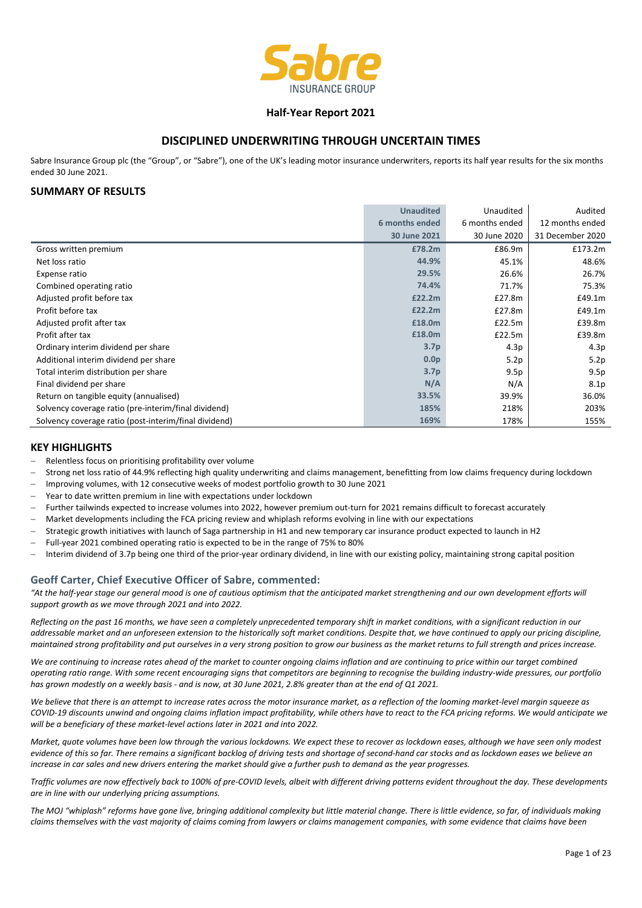

#### **Half‐Year Report 2021**

### **DISCIPLINED UNDERWRITING THROUGH UNCERTAIN TIMES**

Sabre Insurance Group plc (the "Group", or "Sabre"), one of the UK's leading motor insurance underwriters, reports its half year results for the six months ended 30 June 2021.

#### **SUMMARY OF RESULTS**

|                                                       | <b>Unaudited</b> | Unaudited      | Audited          |
|-------------------------------------------------------|------------------|----------------|------------------|
|                                                       | 6 months ended   | 6 months ended | 12 months ended  |
|                                                       | 30 June 2021     | 30 June 2020   | 31 December 2020 |
| Gross written premium                                 | £78.2m           | £86.9m         | £173.2m          |
| Net loss ratio                                        | 44.9%            | 45.1%          | 48.6%            |
| Expense ratio                                         | 29.5%            | 26.6%          | 26.7%            |
| Combined operating ratio                              | 74.4%            | 71.7%          | 75.3%            |
| Adjusted profit before tax                            | £22.2m           | £27.8m         | £49.1m           |
| Profit before tax                                     | £22.2m           | £27.8m         | £49.1m           |
| Adjusted profit after tax                             | £18.0m           | £22.5m         | £39.8m           |
| Profit after tax                                      | £18.0m           | £22.5m         | £39.8m           |
| Ordinary interim dividend per share                   | 3.7 <sub>p</sub> | 4.3p           | 4.3p             |
| Additional interim dividend per share                 | 0.0 <sub>p</sub> | 5.2p           | 5.2p             |
| Total interim distribution per share                  | 3.7 <sub>p</sub> | 9.5p           | 9.5p             |
| Final dividend per share                              | N/A              | N/A            | 8.1 <sub>p</sub> |
| Return on tangible equity (annualised)                | 33.5%            | 39.9%          | 36.0%            |
| Solvency coverage ratio (pre-interim/final dividend)  | 185%             | 218%           | 203%             |
| Solvency coverage ratio (post-interim/final dividend) | 169%             | 178%           | 155%             |

#### **KEY HIGHLIGHTS**

- Relentless focus on prioritising profitability over volume
- Strong net loss ratio of 44.9% reflecting high quality underwriting and claims management, benefitting from low claims frequency during lockdown
- Improving volumes, with 12 consecutive weeks of modest portfolio growth to 30 June 2021
- Year to date written premium in line with expectations under lockdown
- Further tailwinds expected to increase volumes into 2022, however premium out-turn for 2021 remains difficult to forecast accurately
- Market developments including the FCA pricing review and whiplash reforms evolving in line with our expectations
- Strategic growth initiatives with launch of Saga partnership in H1 and new temporary car insurance product expected to launch in H2
- Full‐year 2021 combined operating ratio is expected to be in the range of 75% to 80%
- Interim dividend of 3.7p being one third of the prior‐year ordinary dividend, in line with our existing policy, maintaining strong capital position

#### **Geoff Carter, Chief Executive Officer of Sabre, commented:**

"At the half-year stage our general mood is one of cautious optimism that the anticipated market strengthening and our own development efforts will *support growth as we move through 2021 and into 2022.*

Reflecting on the past 16 months, we have seen a completely unprecedented temporary shift in market conditions, with a significant reduction in our addressable market and an unforeseen extension to the historically soft market conditions. Despite that, we have continued to apply our pricina discipline. maintained strong profitability and put ourselves in a very strong position to grow our business as the market returns to full strength and prices increase.

We are continuing to increase rates ahead of the market to counter ongoing claims inflation and are continuing to price within our target combined operating ratio range. With some recent encouraging signs that competitors are beginning to recognise the building industry-wide pressures, our portfolio has grown modestly on a weekly basis - and is now, at 30 June 2021, 2.8% greater than at the end of Q1 2021.

We believe that there is an attempt to increase rates across the motor insurance market, as a reflection of the looming market-level margin squeeze as COVID-19 discounts unwind and ongoing claims inflation impact profitability, while others have to react to the FCA pricing reforms. We would anticipate we *will be a beneficiary of these market‐level actions later in 2021 and into 2022.*

Market, quote volumes have been low through the various lockdowns. We expect these to recover as lockdown eases, although we have seen only modest evidence of this so far. There remains a significant backlog of driving tests and shortage of second-hand car stocks and as lockdown eases we believe an increase in car sales and new drivers entering the market should give a further push to demand as the year progresses.

Traffic volumes are now effectively back to 100% of pre-COVID levels, albeit with different driving patterns evident throughout the day. These developments *are in line with our underlying pricing assumptions.* 

The MOJ "whiplash" reforms have gone live, bringing additional complexity but little material change. There is little evidence, so far, of individuals making claims themselves with the vast majority of claims coming from lawyers or claims management companies, with some evidence that claims have been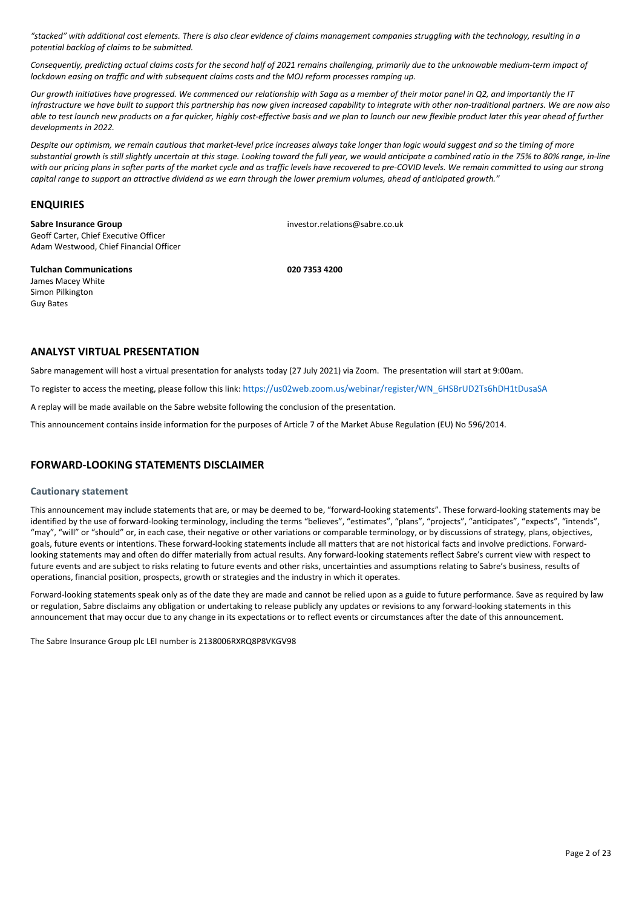"stacked" with additional cost elements. There is also clear evidence of claims management companies struggling with the technology, resulting in a *potential backlog of claims to be submitted.*

Consequently, predicting actual claims costs for the second half of 2021 remains challenging, primarily due to the unknowable medium-term impact of lockdown easing on traffic and with subsequent claims costs and the MOJ reform processes ramping up.

Our growth initiatives have progressed. We commenced our relationship with Saga as a member of their motor panel in Q2, and importantly the IT infrastructure we have built to support this partnership has now given increased capability to integrate with other non-traditional partners. We are now also able to test launch new products on a far quicker, highly cost-effective basis and we plan to launch our new flexible product later this year ahead of further *developments in 2022.*

Despite our optimism, we remain cautious that market-level price increases always take longer than logic would suggest and so the timing of more substantial growth is still slightly uncertain at this stage. Looking toward the full year, we would anticipate a combined ratio in the 75% to 80% range, in-line with our pricing plans in softer parts of the market cycle and as traffic levels have recovered to pre-COVID levels. We remain committed to using our strong capital range to support an attractive dividend as we earn through the lower premium volumes, ahead of anticipated growth."

#### **ENQUIRIES**

**Sabre Insurance Group**  investor.relations@sabre.co.uk Geoff Carter, Chief Executive Officer Adam Westwood, Chief Financial Officer

**Tulchan Communications 020 7353 4200** James Macey White Simon Pilkington Guy Bates

### **ANALYST VIRTUAL PRESENTATION**

Sabre management will host a virtual presentation for analysts today (27 July 2021) via Zoom. The presentation will start at 9:00am.

To register to access the meeting, please follow this link: [https://us02web.zoom.us/webinar/register/WN\\_6HSBrUD2Ts6hDH1tDusaSA](https://us02web.zoom.us/webinar/register/WN_6HSBrUD2Ts6hDH1tDusaSA)

A replay will be made available on the Sabre website following the conclusion of the presentation.

This announcement contains inside information for the purposes of Article 7 of the Market Abuse Regulation (EU) No 596/2014.

## **FORWARD‐LOOKING STATEMENTS DISCLAIMER**

#### **Cautionary statement**

This announcement may include statements that are, or may be deemed to be, "forward‐looking statements". These forward‐looking statements may be identified by the use of forward-looking terminology, including the terms "believes", "estimates", "plans", "projects", "anticipates", "expects", "intends", "may", "will" or "should" or, in each case, their negative or other variations or comparable terminology, or by discussions of strategy, plans, objectives, goals, future events or intentions. These forward-looking statements include all matters that are not historical facts and involve predictions. Forwardlooking statements may and often do differ materially from actual results. Any forward‐looking statements reflect Sabre's current view with respect to future events and are subject to risks relating to future events and other risks, uncertainties and assumptions relating to Sabre's business, results of operations, financial position, prospects, growth or strategies and the industry in which it operates.

Forward-looking statements speak only as of the date they are made and cannot be relied upon as a guide to future performance. Save as required by law or regulation, Sabre disclaims any obligation or undertaking to release publicly any updates or revisions to any forward‐looking statements in this announcement that may occur due to any change in its expectations or to reflect events or circumstances after the date of this announcement.

The Sabre Insurance Group plc LEI number is 2138006RXRQ8P8VKGV98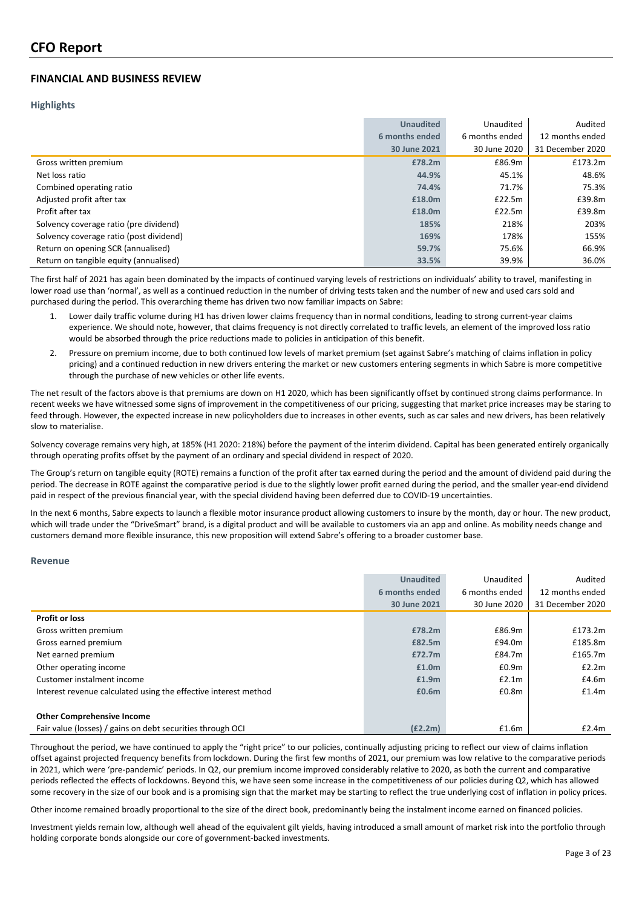## **FINANCIAL AND BUSINESS REVIEW**

#### **Highlights**

|                                         | <b>Unaudited</b> | Unaudited      | Audited          |
|-----------------------------------------|------------------|----------------|------------------|
|                                         | 6 months ended   | 6 months ended | 12 months ended  |
|                                         | 30 June 2021     | 30 June 2020   | 31 December 2020 |
| Gross written premium                   | £78.2m           | £86.9m         | £173.2m          |
| Net loss ratio                          | 44.9%            | 45.1%          | 48.6%            |
| Combined operating ratio                | 74.4%            | 71.7%          | 75.3%            |
| Adjusted profit after tax               | £18.0m           | £22.5m         | £39.8m           |
| Profit after tax                        | £18.0m           | £22.5m         | £39.8m           |
| Solvency coverage ratio (pre dividend)  | 185%             | 218%           | 203%             |
| Solvency coverage ratio (post dividend) | 169%             | 178%           | 155%             |
| Return on opening SCR (annualised)      | 59.7%            | 75.6%          | 66.9%            |
| Return on tangible equity (annualised)  | 33.5%            | 39.9%          | 36.0%            |

The first half of 2021 has again been dominated by the impacts of continued varying levels of restrictions on individuals' ability to travel, manifesting in lower road use than 'normal', as well as a continued reduction in the number of driving tests taken and the number of new and used cars sold and purchased during the period. This overarching theme has driven two now familiar impacts on Sabre:

- 1. Lower daily traffic volume during H1 has driven lower claims frequency than in normal conditions, leading to strong current-year claims experience. We should note, however, that claims frequency is not directly correlated to traffic levels, an element of the improved loss ratio would be absorbed through the price reductions made to policies in anticipation of this benefit.
- 2. Pressure on premium income, due to both continued low levels of market premium (set against Sabre's matching of claims inflation in policy pricing) and a continued reduction in new drivers entering the market or new customers entering segments in which Sabre is more competitive through the purchase of new vehicles or other life events.

The net result of the factors above is that premiums are down on H1 2020, which has been significantly offset by continued strong claims performance. In recent weeks we have witnessed some signs of improvement in the competitiveness of our pricing, suggesting that market price increases may be staring to feed through. However, the expected increase in new policyholders due to increases in other events, such as car sales and new drivers, has been relatively slow to materialise.

Solvency coverage remains very high, at 185% (H1 2020: 218%) before the payment of the interim dividend. Capital has been generated entirely organically through operating profits offset by the payment of an ordinary and special dividend in respect of 2020.

The Group's return on tangible equity (ROTE) remains a function of the profit after tax earned during the period and the amount of dividend paid during the period. The decrease in ROTE against the comparative period is due to the slightly lower profit earned during the period, and the smaller year-end dividend paid in respect of the previous financial year, with the special dividend having been deferred due to COVID‐19 uncertainties.

In the next 6 months, Sabre expects to launch a flexible motor insurance product allowing customers to insure by the month, day or hour. The new product, which will trade under the "DriveSmart" brand, is a digital product and will be available to customers via an app and online. As mobility needs change and customers demand more flexible insurance, this new proposition will extend Sabre's offering to a broader customer base.

#### **Revenue**

|                                                                 | <b>Unaudited</b> | Unaudited      | Audited          |
|-----------------------------------------------------------------|------------------|----------------|------------------|
|                                                                 | 6 months ended   | 6 months ended | 12 months ended  |
|                                                                 | 30 June 2021     | 30 June 2020   | 31 December 2020 |
| <b>Profit or loss</b>                                           |                  |                |                  |
| Gross written premium                                           | £78.2m           | £86.9m         | £173.2m          |
| Gross earned premium                                            | £82.5m           | £94.0m         | £185.8m          |
| Net earned premium                                              | £72.7m           | £84.7m         | £165.7m          |
| Other operating income                                          | £1.0m            | £0.9m          | £2.2m            |
| Customer instalment income                                      | £1.9m            | £2.1m          | £4.6m            |
| Interest revenue calculated using the effective interest method | £0.6m            | £0.8m          | £1.4m            |
|                                                                 |                  |                |                  |
| <b>Other Comprehensive Income</b>                               |                  |                |                  |
| Fair value (losses) / gains on debt securities through OCI      | (E2.2m)          | £1.6m          | £2.4m            |

Throughout the period, we have continued to apply the "right price" to our policies, continually adjusting pricing to reflect our view of claims inflation offset against projected frequency benefits from lockdown. During the first few months of 2021, our premium was low relative to the comparative periods in 2021, which were 'pre‐pandemic' periods. In Q2, our premium income improved considerably relative to 2020, as both the current and comparative periods reflected the effects of lockdowns. Beyond this, we have seen some increase in the competitiveness of our policies during Q2, which has allowed some recovery in the size of our book and is a promising sign that the market may be starting to reflect the true underlying cost of inflation in policy prices.

Other income remained broadly proportional to the size of the direct book, predominantly being the instalment income earned on financed policies.

Investment yields remain low, although well ahead of the equivalent gilt yields, having introduced a small amount of market risk into the portfolio through holding corporate bonds alongside our core of government‐backed investments.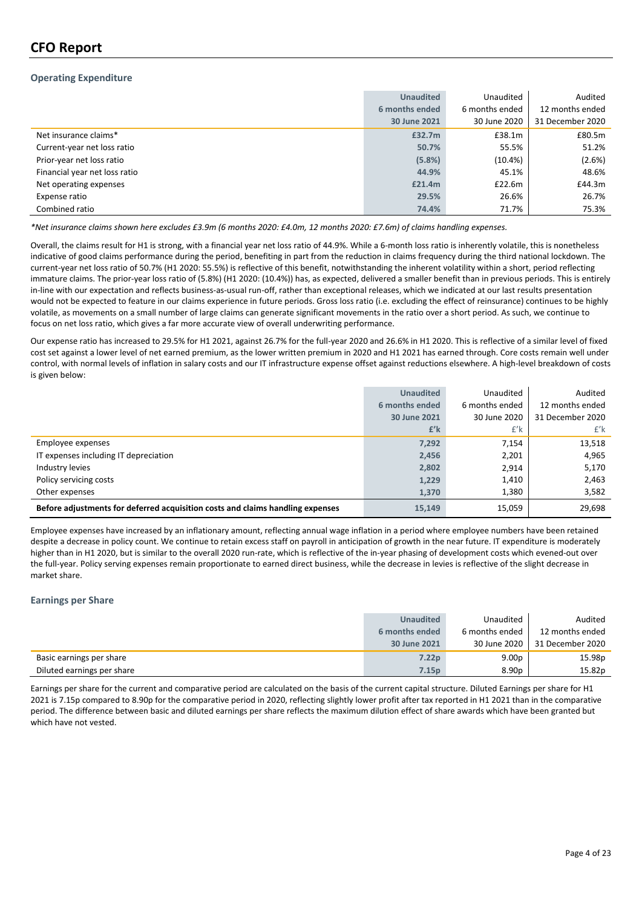## **CFO Report**

#### **Operating Expenditure**

|                               | <b>Unaudited</b> | Unaudited      | Audited          |
|-------------------------------|------------------|----------------|------------------|
|                               | 6 months ended   | 6 months ended | 12 months ended  |
|                               | 30 June 2021     | 30 June 2020   | 31 December 2020 |
| Net insurance claims*         | £32.7m           | £38.1m         | £80.5m           |
| Current-year net loss ratio   | 50.7%            | 55.5%          | 51.2%            |
| Prior-year net loss ratio     | (5.8%)           | $(10.4\%)$     | (2.6%)           |
| Financial year net loss ratio | 44.9%            | 45.1%          | 48.6%            |
| Net operating expenses        | £21.4m           | £22.6m         | £44.3m           |
| Expense ratio                 | 29.5%            | 26.6%          | 26.7%            |
| Combined ratio                | 74.4%            | 71.7%          | 75.3%            |

\*Net insurance claims shown here excludes £3.9m (6 months 2020: £4.0m, 12 months 2020: £7.6m) of claims handling expenses.

Overall, the claims result for H1 is strong, with a financial year net loss ratio of 44.9%. While a 6‐month loss ratio is inherently volatile, this is nonetheless indicative of good claims performance during the period, benefiting in part from the reduction in claims frequency during the third national lockdown. The current‐year net loss ratio of 50.7% (H1 2020: 55.5%) is reflective of this benefit, notwithstanding the inherent volatility within a short, period reflecting immature claims. The prior-year loss ratio of (5.8%) (H1 2020: (10.4%)) has, as expected, delivered a smaller benefit than in previous periods. This is entirely in-line with our expectation and reflects business-as-usual run-off, rather than exceptional releases, which we indicated at our last results presentation would not be expected to feature in our claims experience in future periods. Gross loss ratio (i.e. excluding the effect of reinsurance) continues to be highly volatile, as movements on a small number of large claims can generate significant movements in the ratio over a short period. As such, we continue to focus on net loss ratio, which gives a far more accurate view of overall underwriting performance.

Our expense ratio has increased to 29.5% for H1 2021, against 26.7% for the full‐year 2020 and 26.6% in H1 2020. This is reflective of a similar level of fixed cost set against a lower level of net earned premium, as the lower written premium in 2020 and H1 2021 has earned through. Core costs remain well under control, with normal levels of inflation in salary costs and our IT infrastructure expense offset against reductions elsewhere. A high‐level breakdown of costs is given below:

|                                                                                | <b>Unaudited</b> | Unaudited      | Audited          |
|--------------------------------------------------------------------------------|------------------|----------------|------------------|
|                                                                                | 6 months ended   | 6 months ended | 12 months ended  |
|                                                                                | 30 June 2021     | 30 June 2020   | 31 December 2020 |
|                                                                                | $f'$ k           | $f'$ k         | £'k              |
| Employee expenses                                                              | 7,292            | 7,154          | 13,518           |
| IT expenses including IT depreciation                                          | 2,456            | 2,201          | 4,965            |
| Industry levies                                                                | 2,802            | 2,914          | 5,170            |
| Policy servicing costs                                                         | 1,229            | 1,410          | 2,463            |
| Other expenses                                                                 | 1,370            | 1,380          | 3,582            |
| Before adjustments for deferred acquisition costs and claims handling expenses | 15,149           | 15,059         | 29,698           |

Employee expenses have increased by an inflationary amount, reflecting annual wage inflation in a period where employee numbers have been retained despite a decrease in policy count. We continue to retain excess staff on payroll in anticipation of growth in the near future. IT expenditure is moderately higher than in H1 2020, but is similar to the overall 2020 run-rate, which is reflective of the in-year phasing of development costs which evened-out over the full‐year. Policy serving expenses remain proportionate to earned direct business, while the decrease in levies is reflective of the slight decrease in market share.

#### **Earnings per Share**

|                            | <b>Unaudited</b>  | Unaudited         | Audited          |
|----------------------------|-------------------|-------------------|------------------|
|                            | 6 months ended    | 6 months ended    | 12 months ended  |
|                            | 30 June 2021      | 30 June 2020      | 31 December 2020 |
| Basic earnings per share   | 7.22 <sub>p</sub> | 9.00 <sub>p</sub> | 15.98p           |
| Diluted earnings per share | 7.15p             | 8.90 <sub>p</sub> | 15.82p           |

Earnings per share for the current and comparative period are calculated on the basis of the current capital structure. Diluted Earnings per share for H1 2021 is 7.15p compared to 8.90p for the comparative period in 2020, reflecting slightly lower profit after tax reported in H1 2021 than in the comparative period. The difference between basic and diluted earnings per share reflects the maximum dilution effect of share awards which have been granted but which have not vested.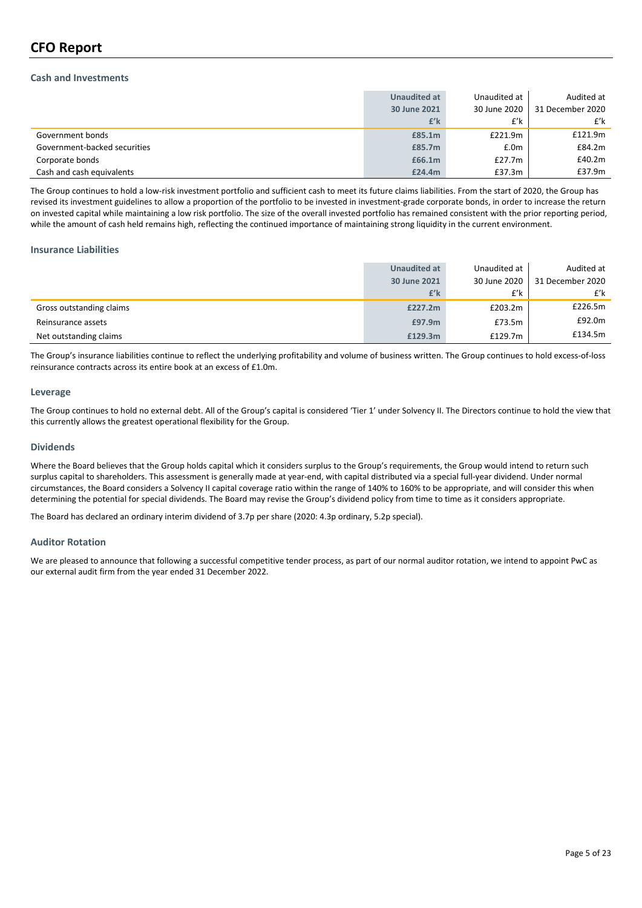## **CFO Report**

#### **Cash and Investments**

|                              | <b>Unaudited at</b> | Unaudited at | Audited at       |
|------------------------------|---------------------|--------------|------------------|
|                              | 30 June 2021        | 30 June 2020 | 31 December 2020 |
|                              | £'k                 | £'k          | £'k              |
| Government bonds             | £85.1m              | £221.9m      | £121.9m          |
| Government-backed securities | £85.7m              | £.0m         | £84.2m           |
| Corporate bonds              | £66.1m              | £27.7 $m$    | £40.2m           |
| Cash and cash equivalents    | £24.4m              | £37.3m       | £37.9m           |

The Group continues to hold a low‐risk investment portfolio and sufficient cash to meet its future claims liabilities. From the start of 2020, the Group has revised its investment guidelines to allow a proportion of the portfolio to be invested in investment-grade corporate bonds, in order to increase the return on invested capital while maintaining a low risk portfolio. The size of the overall invested portfolio has remained consistent with the prior reporting period, while the amount of cash held remains high, reflecting the continued importance of maintaining strong liquidity in the current environment.

#### **Insurance Liabilities**

|                          | Unaudited at | Unaudited at | Audited at       |
|--------------------------|--------------|--------------|------------------|
|                          | 30 June 2021 | 30 June 2020 | 31 December 2020 |
|                          | £'k          | £'k          | £'k              |
| Gross outstanding claims | £227.2m      | £203.2m      | £226.5m          |
| Reinsurance assets       | £97.9m       | £73.5m       | £92.0m           |
| Net outstanding claims   | £129.3m      | £129.7m      | £134.5m          |

The Group's insurance liabilities continue to reflect the underlying profitability and volume of business written. The Group continues to hold excess-of-loss reinsurance contracts across its entire book at an excess of £1.0m.

#### **Leverage**

The Group continues to hold no external debt. All of the Group's capital is considered 'Tier 1' under Solvency II. The Directors continue to hold the view that this currently allows the greatest operational flexibility for the Group.

#### **Dividends**

Where the Board believes that the Group holds capital which it considers surplus to the Group's requirements, the Group would intend to return such surplus capital to shareholders. This assessment is generally made at year-end, with capital distributed via a special full-year dividend. Under normal circumstances, the Board considers a Solvency II capital coverage ratio within the range of 140% to 160% to be appropriate, and will consider this when determining the potential for special dividends. The Board may revise the Group's dividend policy from time to time as it considers appropriate.

The Board has declared an ordinary interim dividend of 3.7p per share (2020: 4.3p ordinary, 5.2p special).

#### **Auditor Rotation**

We are pleased to announce that following a successful competitive tender process, as part of our normal auditor rotation, we intend to appoint PwC as our external audit firm from the year ended 31 December 2022.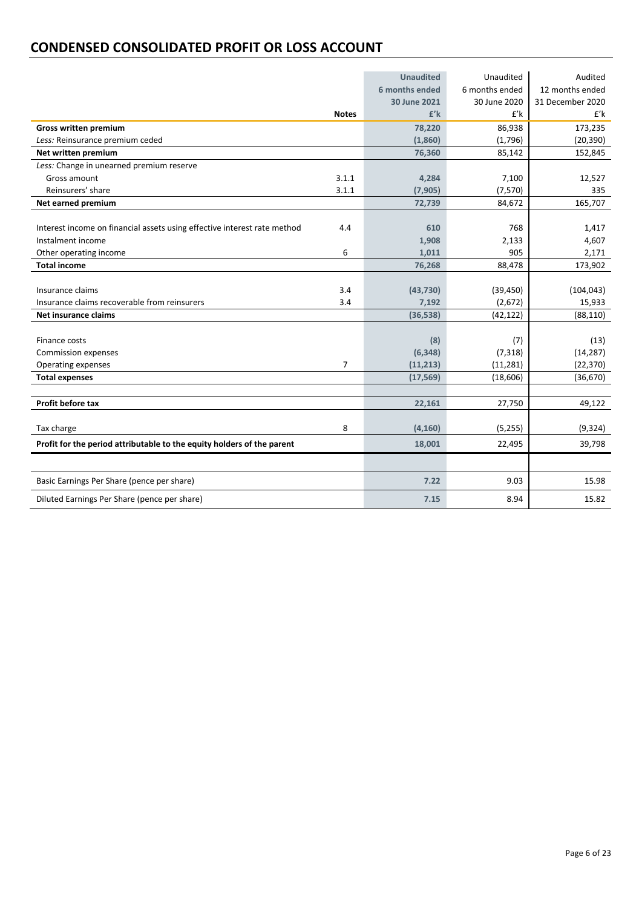## **CONDENSED CONSOLIDATED PROFIT OR LOSS ACCOUNT**

|                                                                          |                | <b>Unaudited</b> | Unaudited      | Audited          |
|--------------------------------------------------------------------------|----------------|------------------|----------------|------------------|
|                                                                          |                | 6 months ended   | 6 months ended | 12 months ended  |
|                                                                          |                | 30 June 2021     | 30 June 2020   | 31 December 2020 |
|                                                                          | <b>Notes</b>   | $f'$ k           | $f'$ k         | $f'$ k           |
| <b>Gross written premium</b>                                             |                | 78,220           | 86,938         | 173,235          |
| Less: Reinsurance premium ceded                                          |                | (1,860)          | (1,796)        | (20, 390)        |
| Net written premium                                                      |                | 76,360           | 85,142         | 152,845          |
| Less: Change in unearned premium reserve                                 |                |                  |                |                  |
| Gross amount                                                             | 3.1.1          | 4,284            | 7,100          | 12,527           |
| Reinsurers' share                                                        | 3.1.1          | (7, 905)         | (7,570)        | 335              |
| Net earned premium                                                       |                | 72,739           | 84,672         | 165,707          |
|                                                                          |                |                  |                |                  |
| Interest income on financial assets using effective interest rate method | 4.4            | 610              | 768            | 1,417            |
| Instalment income                                                        |                | 1,908            | 2,133          | 4,607            |
| Other operating income                                                   | 6              | 1,011            | 905            | 2,171            |
| <b>Total income</b>                                                      |                | 76,268           | 88,478         | 173,902          |
|                                                                          |                |                  |                |                  |
| Insurance claims                                                         | 3.4            | (43, 730)        | (39, 450)      | (104, 043)       |
| Insurance claims recoverable from reinsurers                             | 3.4            | 7,192            | (2,672)        | 15,933           |
| Net insurance claims                                                     |                | (36, 538)        | (42, 122)      | (88, 110)        |
|                                                                          |                |                  |                |                  |
| Finance costs                                                            |                | (8)              | (7)            | (13)             |
| <b>Commission expenses</b>                                               |                | (6, 348)         | (7, 318)       | (14, 287)        |
| Operating expenses                                                       | $\overline{7}$ | (11, 213)        | (11, 281)      | (22, 370)        |
| <b>Total expenses</b>                                                    |                | (17, 569)        | (18,606)       | (36, 670)        |
|                                                                          |                |                  |                |                  |
| Profit before tax                                                        |                | 22,161           | 27,750         | 49,122           |
|                                                                          |                |                  |                |                  |
| Tax charge                                                               | 8              | (4, 160)         | (5,255)        | (9,324)          |
| Profit for the period attributable to the equity holders of the parent   |                | 18,001           | 22,495         | 39,798           |
|                                                                          |                |                  |                |                  |
| Basic Earnings Per Share (pence per share)                               |                | 7.22             | 9.03           | 15.98            |
| Diluted Earnings Per Share (pence per share)                             |                | 7.15             | 8.94           | 15.82            |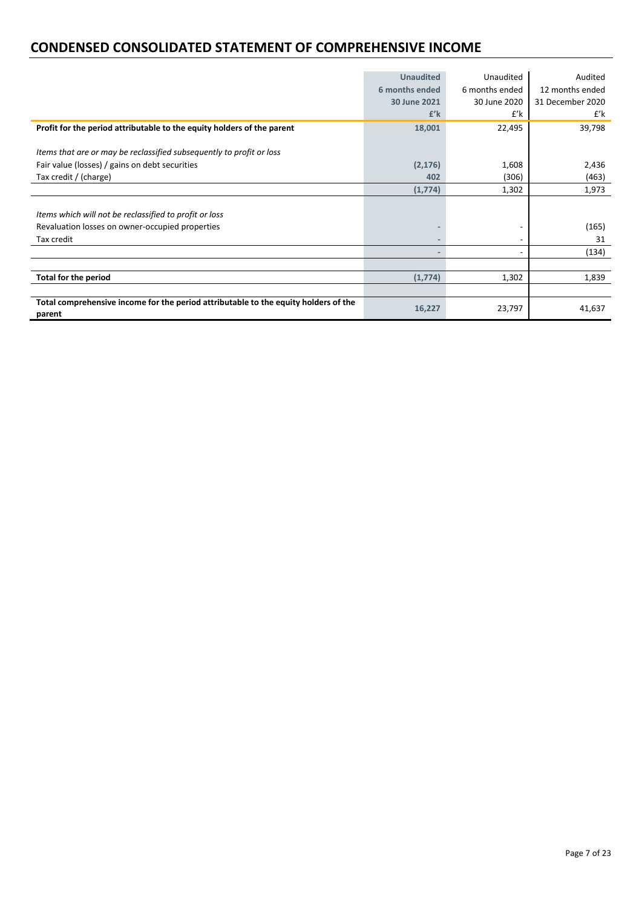## **CONDENSED CONSOLIDATED STATEMENT OF COMPREHENSIVE INCOME**

|                                                                                               | <b>Unaudited</b>             | Unaudited      | Audited          |
|-----------------------------------------------------------------------------------------------|------------------------------|----------------|------------------|
|                                                                                               | 6 months ended               | 6 months ended | 12 months ended  |
|                                                                                               | 30 June 2021                 | 30 June 2020   | 31 December 2020 |
|                                                                                               | $f'$ k                       | £'k            | £'k              |
| Profit for the period attributable to the equity holders of the parent                        | 18,001                       | 22,495         | 39,798           |
|                                                                                               |                              |                |                  |
| Items that are or may be reclassified subsequently to profit or loss                          |                              |                |                  |
| Fair value (losses) / gains on debt securities                                                | (2, 176)                     | 1,608          | 2,436            |
| Tax credit / (charge)                                                                         | 402                          | (306)          | (463)            |
|                                                                                               | (1,774)                      | 1,302          | 1,973            |
|                                                                                               |                              |                |                  |
| Items which will not be reclassified to profit or loss                                        |                              |                |                  |
| Revaluation losses on owner-occupied properties                                               |                              |                | (165)            |
| Tax credit                                                                                    | $\overline{\phantom{0}}$     |                | 31               |
|                                                                                               | $\qquad \qquad \blacksquare$ | ۰              | (134)            |
|                                                                                               |                              |                |                  |
| <b>Total for the period</b>                                                                   | (1,774)                      | 1,302          | 1,839            |
|                                                                                               |                              |                |                  |
| Total comprehensive income for the period attributable to the equity holders of the<br>parent | 16,227                       | 23,797         | 41,637           |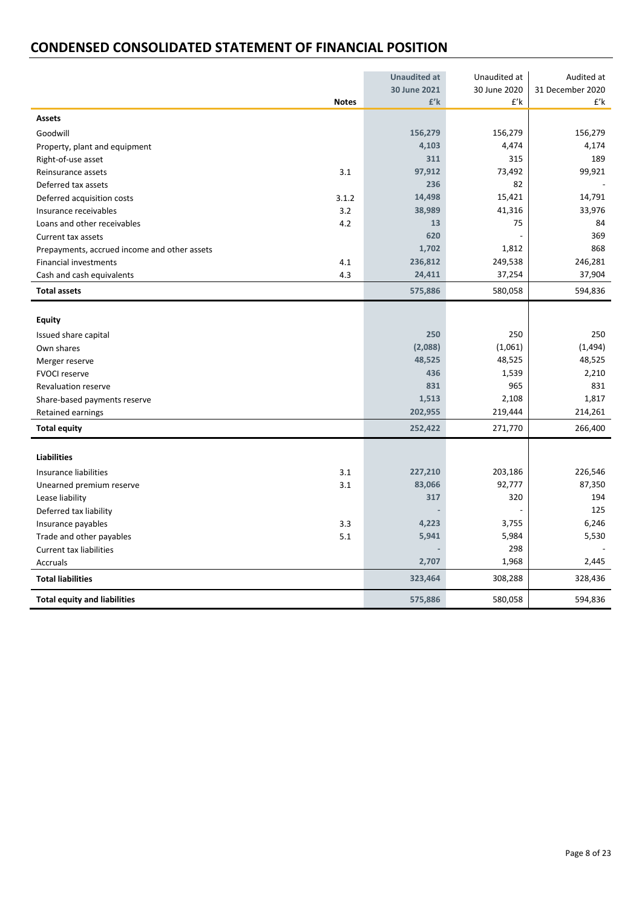## **CONDENSED CONSOLIDATED STATEMENT OF FINANCIAL POSITION**

|                                              |              | <b>Unaudited at</b> | Unaudited at | Audited at       |
|----------------------------------------------|--------------|---------------------|--------------|------------------|
|                                              |              | 30 June 2021        | 30 June 2020 | 31 December 2020 |
|                                              | <b>Notes</b> | $f'$ k              | $f'$ k       | £'k              |
| <b>Assets</b>                                |              |                     |              |                  |
| Goodwill                                     |              | 156,279             | 156,279      | 156,279          |
| Property, plant and equipment                |              | 4,103               | 4,474        | 4,174            |
| Right-of-use asset                           |              | 311                 | 315          | 189              |
| Reinsurance assets                           | 3.1          | 97,912              | 73,492       | 99,921           |
| Deferred tax assets                          |              | 236                 | 82           |                  |
| Deferred acquisition costs                   | 3.1.2        | 14,498              | 15,421       | 14,791           |
| Insurance receivables                        | 3.2          | 38,989              | 41,316       | 33,976           |
| Loans and other receivables                  | 4.2          | 13                  | 75           | 84               |
| Current tax assets                           |              | 620                 |              | 369              |
| Prepayments, accrued income and other assets |              | 1,702               | 1,812        | 868              |
| Financial investments                        | 4.1          | 236,812             | 249,538      | 246,281          |
| Cash and cash equivalents                    | 4.3          | 24,411              | 37,254       | 37,904           |
| <b>Total assets</b>                          |              | 575,886             | 580,058      | 594,836          |
|                                              |              |                     |              |                  |
| Equity                                       |              |                     |              |                  |
| Issued share capital                         |              | 250                 | 250          | 250              |
| Own shares                                   |              | (2,088)             | (1,061)      | (1, 494)         |
| Merger reserve                               |              | 48,525              | 48,525       | 48,525           |
| <b>FVOCI reserve</b>                         |              | 436                 | 1,539        | 2,210            |
| <b>Revaluation reserve</b>                   |              | 831                 | 965          | 831              |
| Share-based payments reserve                 |              | 1,513               | 2,108        | 1,817            |
| Retained earnings                            |              | 202,955             | 219,444      | 214,261          |
| <b>Total equity</b>                          |              | 252,422             | 271,770      | 266,400          |
|                                              |              |                     |              |                  |
| <b>Liabilities</b>                           |              |                     |              |                  |
| Insurance liabilities                        | 3.1          | 227,210             | 203,186      | 226,546          |
| Unearned premium reserve                     | 3.1          | 83,066              | 92,777       | 87,350           |
| Lease liability                              |              | 317                 | 320          | 194              |
| Deferred tax liability                       |              |                     |              | 125              |
| Insurance payables                           | 3.3          | 4,223               | 3,755        | 6,246            |
| Trade and other payables                     | 5.1          | 5,941               | 5,984        | 5,530            |
| <b>Current tax liabilities</b>               |              |                     | 298          |                  |
| Accruals                                     |              | 2,707               | 1,968        | 2,445            |
| <b>Total liabilities</b>                     |              | 323,464             | 308,288      | 328,436          |
| <b>Total equity and liabilities</b>          |              | 575,886             | 580,058      | 594,836          |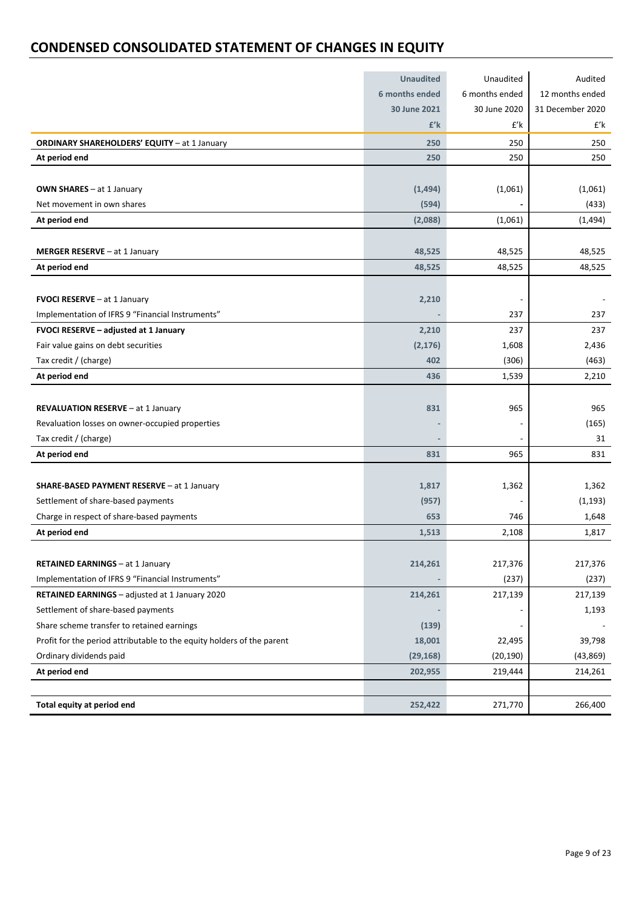## **CONDENSED CONSOLIDATED STATEMENT OF CHANGES IN EQUITY**

|                                                                        | <b>Unaudited</b> | Unaudited      | Audited          |
|------------------------------------------------------------------------|------------------|----------------|------------------|
|                                                                        | 6 months ended   | 6 months ended | 12 months ended  |
|                                                                        | 30 June 2021     | 30 June 2020   | 31 December 2020 |
|                                                                        | $f'$ k           | $f'$ k         | £'k              |
| <b>ORDINARY SHAREHOLDERS' EQUITY - at 1 January</b>                    | 250              | 250            | 250              |
| At period end                                                          | 250              | 250            | 250              |
|                                                                        |                  |                |                  |
| OWN SHARES - at 1 January                                              | (1,494)          | (1,061)        | (1,061)          |
| Net movement in own shares                                             | (594)            |                | (433)            |
| At period end                                                          | (2,088)          | (1,061)        | (1, 494)         |
|                                                                        |                  |                |                  |
| MERGER RESERVE - at 1 January                                          | 48,525           | 48,525         | 48,525           |
| At period end                                                          | 48,525           | 48,525         | 48,525           |
|                                                                        |                  |                |                  |
| FVOCI RESERVE - at 1 January                                           | 2,210            |                |                  |
| Implementation of IFRS 9 "Financial Instruments"                       |                  | 237            | 237              |
| FVOCI RESERVE - adjusted at 1 January                                  | 2,210            | 237            | 237              |
| Fair value gains on debt securities                                    | (2, 176)         | 1,608          | 2,436            |
| Tax credit / (charge)                                                  | 402              | (306)          | (463)            |
| At period end                                                          | 436              | 1,539          | 2,210            |
|                                                                        |                  |                |                  |
| REVALUATION RESERVE - at 1 January                                     | 831              | 965            | 965              |
| Revaluation losses on owner-occupied properties                        |                  |                | (165)            |
| Tax credit / (charge)                                                  |                  |                | 31               |
| At period end                                                          | 831              | 965            | 831              |
|                                                                        |                  |                |                  |
| SHARE-BASED PAYMENT RESERVE - at 1 January                             | 1,817            | 1,362          | 1,362            |
| Settlement of share-based payments                                     | (957)            |                | (1, 193)         |
| Charge in respect of share-based payments                              | 653              | 746            | 1,648            |
| At period end                                                          | 1,513            | 2,108          | 1,817            |
|                                                                        |                  |                |                  |
| <b>RETAINED EARNINGS - at 1 January</b>                                | 214,261          | 217,376        | 217,376          |
| Implementation of IFRS 9 "Financial Instruments"                       |                  | (237)          | (237)            |
| RETAINED EARNINGS - adjusted at 1 January 2020                         | 214,261          | 217,139        | 217,139          |
| Settlement of share-based payments                                     |                  |                | 1,193            |
| Share scheme transfer to retained earnings                             | (139)            |                |                  |
| Profit for the period attributable to the equity holders of the parent | 18,001           | 22,495         | 39,798           |
| Ordinary dividends paid                                                | (29, 168)        | (20, 190)      | (43, 869)        |
| At period end                                                          | 202,955          | 219,444        | 214,261          |
|                                                                        |                  |                |                  |
| Total equity at period end                                             | 252,422          | 271,770        | 266,400          |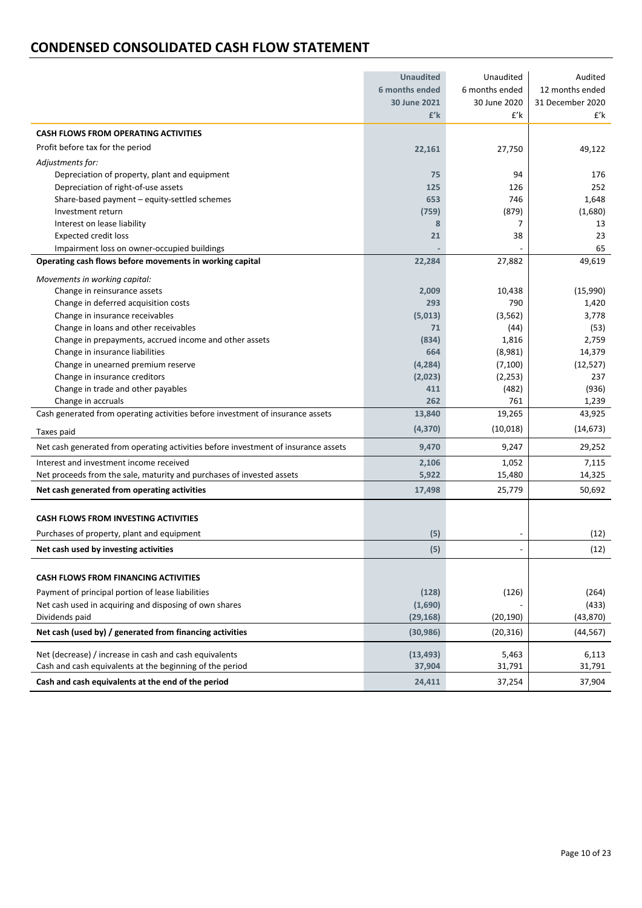## **CONDENSED CONSOLIDATED CASH FLOW STATEMENT**

|                                                                                    | <b>Unaudited</b> | Unaudited      | Audited          |
|------------------------------------------------------------------------------------|------------------|----------------|------------------|
|                                                                                    | 6 months ended   | 6 months ended | 12 months ended  |
|                                                                                    | 30 June 2021     | 30 June 2020   | 31 December 2020 |
|                                                                                    | $f'$ k           | £'k            | £'k              |
| <b>CASH FLOWS FROM OPERATING ACTIVITIES</b>                                        |                  |                |                  |
| Profit before tax for the period                                                   | 22,161           | 27,750         | 49,122           |
| Adjustments for:                                                                   |                  |                |                  |
| Depreciation of property, plant and equipment                                      | 75               | 94             | 176              |
| Depreciation of right-of-use assets                                                | 125              | 126            | 252              |
| Share-based payment - equity-settled schemes                                       | 653              | 746            | 1,648            |
| Investment return                                                                  | (759)            | (879)          | (1,680)          |
| Interest on lease liability                                                        | 8                | $\overline{7}$ | 13               |
| <b>Expected credit loss</b>                                                        | 21               | 38             | 23               |
| Impairment loss on owner-occupied buildings                                        |                  |                | 65               |
| Operating cash flows before movements in working capital                           | 22,284           | 27,882         | 49,619           |
| Movements in working capital:                                                      |                  |                |                  |
| Change in reinsurance assets                                                       | 2,009            | 10,438         | (15,990)         |
| Change in deferred acquisition costs                                               | 293              | 790            | 1,420            |
| Change in insurance receivables                                                    | (5,013)          | (3, 562)       | 3,778            |
| Change in loans and other receivables                                              | 71               | (44)           | (53)             |
| Change in prepayments, accrued income and other assets                             | (834)            | 1,816          | 2,759            |
| Change in insurance liabilities                                                    | 664              | (8,981)        | 14,379           |
| Change in unearned premium reserve                                                 | (4, 284)         | (7, 100)       | (12, 527)        |
| Change in insurance creditors                                                      | (2,023)          | (2, 253)       | 237              |
| Change in trade and other payables                                                 | 411              | (482)          | (936)            |
| Change in accruals                                                                 | 262              | 761            | 1,239            |
| Cash generated from operating activities before investment of insurance assets     | 13,840           | 19,265         | 43,925           |
| Taxes paid                                                                         | (4, 370)         | (10, 018)      | (14, 673)        |
| Net cash generated from operating activities before investment of insurance assets | 9,470            | 9,247          | 29,252           |
| Interest and investment income received                                            | 2,106            | 1,052          | 7,115            |
| Net proceeds from the sale, maturity and purchases of invested assets              | 5,922            | 15,480         | 14,325           |
| Net cash generated from operating activities                                       | 17,498           | 25,779         | 50,692           |
|                                                                                    |                  |                |                  |
| <b>CASH FLOWS FROM INVESTING ACTIVITIES</b>                                        |                  |                |                  |
| Purchases of property, plant and equipment                                         | (5)              |                | (12)             |
| Net cash used by investing activities                                              | (5)              |                | (12)             |
|                                                                                    |                  |                |                  |
| <b>CASH FLOWS FROM FINANCING ACTIVITIES</b>                                        |                  |                |                  |
| Payment of principal portion of lease liabilities                                  | (128)            | (126)          | (264)            |
| Net cash used in acquiring and disposing of own shares                             | (1,690)          |                | (433)            |
| Dividends paid                                                                     | (29, 168)        | (20, 190)      | (43, 870)        |
| Net cash (used by) / generated from financing activities                           | (30, 986)        | (20, 316)      | (44, 567)        |
| Net (decrease) / increase in cash and cash equivalents                             | (13, 493)        | 5,463          | 6,113            |
| Cash and cash equivalents at the beginning of the period                           | 37,904           | 31,791         | 31,791           |
| Cash and cash equivalents at the end of the period                                 | 24,411           | 37,254         | 37,904           |
|                                                                                    |                  |                |                  |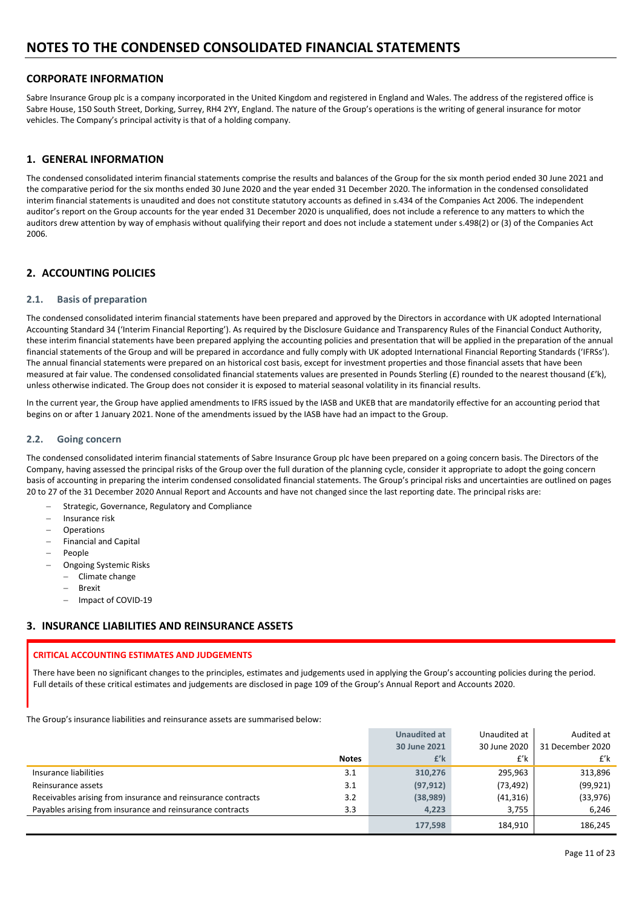## **CORPORATE INFORMATION**

Sabre Insurance Group plc is a company incorporated in the United Kingdom and registered in England and Wales. The address of the registered office is Sabre House, 150 South Street, Dorking, Surrey, RH4 2YY, England. The nature of the Group's operations is the writing of general insurance for motor vehicles. The Company's principal activity is that of a holding company.

### **1. GENERAL INFORMATION**

The condensed consolidated interim financial statements comprise the results and balances of the Group for the six month period ended 30 June 2021 and the comparative period for the six months ended 30 June 2020 and the year ended 31 December 2020. The information in the condensed consolidated interim financial statements is unaudited and does not constitute statutory accounts as defined in s.434 of the Companies Act 2006. The independent auditor's report on the Group accounts for the year ended 31 December 2020 is unqualified, does not include a reference to any matters to which the auditors drew attention by way of emphasis without qualifying their report and does not include a statement under s.498(2) or (3) of the Companies Act 2006.

## **2. ACCOUNTING POLICIES**

#### **2.1. Basis of preparation**

The condensed consolidated interim financial statements have been prepared and approved by the Directors in accordance with UK adopted International Accounting Standard 34 ('Interim Financial Reporting'). As required by the Disclosure Guidance and Transparency Rules of the Financial Conduct Authority, these interim financial statements have been prepared applying the accounting policies and presentation that will be applied in the preparation of the annual financial statements of the Group and will be prepared in accordance and fully comply with UK adopted International Financial Reporting Standards ('IFRSs'). The annual financial statements were prepared on an historical cost basis, except for investment properties and those financial assets that have been measured at fair value. The condensed consolidated financial statements values are presented in Pounds Sterling ( $E$ ) rounded to the nearest thousand ( $E'$ k), unless otherwise indicated. The Group does not consider it is exposed to material seasonal volatility in its financial results.

In the current year, the Group have applied amendments to IFRS issued by the IASB and UKEB that are mandatorily effective for an accounting period that begins on or after 1 January 2021. None of the amendments issued by the IASB have had an impact to the Group.

#### **2.2. Going concern**

The condensed consolidated interim financial statements of Sabre Insurance Group plc have been prepared on a going concern basis. The Directors of the Company, having assessed the principal risks of the Group over the full duration of the planning cycle, consider it appropriate to adopt the going concern basis of accounting in preparing the interim condensed consolidated financial statements. The Group's principal risks and uncertainties are outlined on pages 20 to 27 of the 31 December 2020 Annual Report and Accounts and have not changed since the last reporting date. The principal risks are:

- Strategic, Governance, Regulatory and Compliance
- Insurance risk
- Operations
- Financial and Capital
- People
- Ongoing Systemic Risks
- Climate change
	- Brexit
	- Impact of COVID‐19

#### **3. INSURANCE LIABILITIES AND REINSURANCE ASSETS**

#### **CRITICAL ACCOUNTING ESTIMATES AND JUDGEMENTS**

There have been no significant changes to the principles, estimates and judgements used in applying the Group's accounting policies during the period. Full details of these critical estimates and judgements are disclosed in page 109 of the Group's Annual Report and Accounts 2020.

The Group's insurance liabilities and reinsurance assets are summarised below:

|                                                              |              | <b>Unaudited at</b> | Unaudited at | Audited at       |
|--------------------------------------------------------------|--------------|---------------------|--------------|------------------|
|                                                              |              | 30 June 2021        | 30 June 2020 | 31 December 2020 |
|                                                              | <b>Notes</b> | £'k                 | £'k          | $f'$ k           |
| Insurance liabilities                                        | 3.1          | 310,276             | 295,963      | 313,896          |
| Reinsurance assets                                           | 3.1          | (97, 912)           | (73, 492)    | (99, 921)        |
| Receivables arising from insurance and reinsurance contracts | 3.2          | (38, 989)           | (41, 316)    | (33,976)         |
| Payables arising from insurance and reinsurance contracts    | 3.3          | 4.223               | 3.755        | 6.246            |
|                                                              |              | 177,598             | 184,910      | 186,245          |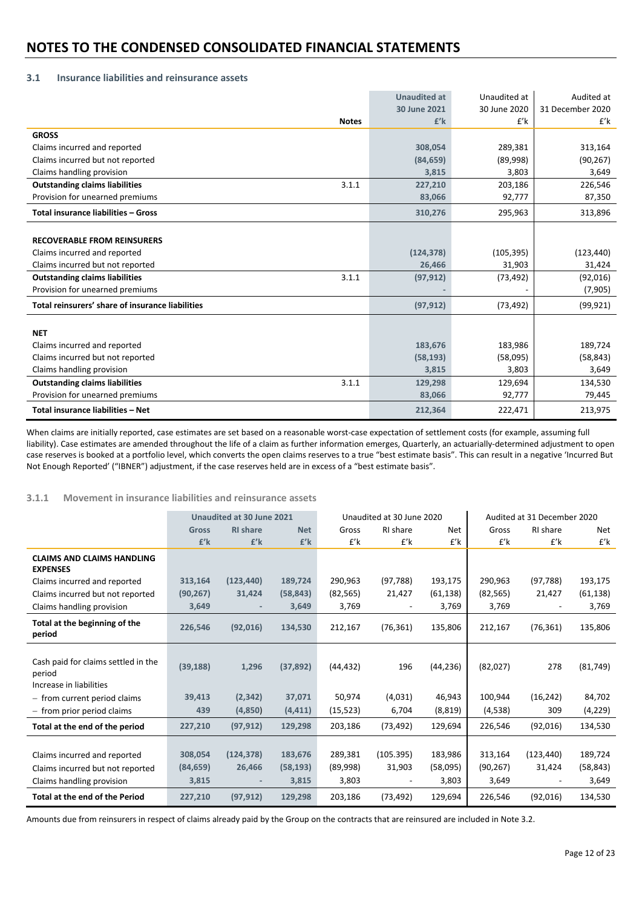## **3.1 Insurance liabilities and reinsurance assets**

|                                                  | <b>Unaudited at</b> | Unaudited at | Audited at       |
|--------------------------------------------------|---------------------|--------------|------------------|
|                                                  | 30 June 2021        | 30 June 2020 | 31 December 2020 |
| <b>Notes</b>                                     | $E'$ k              | £'k          | £'k              |
| <b>GROSS</b>                                     |                     |              |                  |
| Claims incurred and reported                     | 308,054             | 289,381      | 313,164          |
| Claims incurred but not reported                 | (84, 659)           | (89,998)     | (90, 267)        |
| Claims handling provision                        | 3,815               | 3,803        | 3,649            |
| 3.1.1<br><b>Outstanding claims liabilities</b>   | 227,210             | 203,186      | 226,546          |
| Provision for unearned premiums                  | 83,066              | 92,777       | 87,350           |
| Total insurance liabilities - Gross              | 310,276             | 295,963      | 313,896          |
|                                                  |                     |              |                  |
| <b>RECOVERABLE FROM REINSURERS</b>               |                     |              |                  |
| Claims incurred and reported                     | (124, 378)          | (105, 395)   | (123, 440)       |
| Claims incurred but not reported                 | 26,466              | 31,903       | 31,424           |
| <b>Outstanding claims liabilities</b><br>3.1.1   | (97, 912)           | (73, 492)    | (92,016)         |
| Provision for unearned premiums                  |                     |              | (7, 905)         |
| Total reinsurers' share of insurance liabilities | (97, 912)           | (73, 492)    | (99, 921)        |
|                                                  |                     |              |                  |
| <b>NET</b>                                       |                     |              |                  |
| Claims incurred and reported                     | 183,676             | 183,986      | 189,724          |
| Claims incurred but not reported                 | (58, 193)           | (58,095)     | (58, 843)        |
| Claims handling provision                        | 3,815               | 3,803        | 3,649            |
| <b>Outstanding claims liabilities</b><br>3.1.1   | 129,298             | 129,694      | 134,530          |
| Provision for unearned premiums                  | 83,066              | 92,777       | 79,445           |
| Total insurance liabilities - Net                | 212,364             | 222,471      | 213,975          |

When claims are initially reported, case estimates are set based on a reasonable worst-case expectation of settlement costs (for example, assuming full liability). Case estimates are amended throughout the life of a claim as further information emerges, Quarterly, an actuarially-determined adjustment to open case reserves is booked at a portfolio level, which converts the open claims reserves to a true "best estimate basis". This can result in a negative 'Incurred But Not Enough Reported' ("IBNER") adjustment, if the case reserves held are in excess of a "best estimate basis".

### **3.1.1 Movement in insurance liabilities and reinsurance assets**

|                                                                                               |                               | Unaudited at 30 June 2021                        |                               |                              | Unaudited at 30 June 2020                           |                              |                               | Audited at 31 December 2020                      |                               |  |
|-----------------------------------------------------------------------------------------------|-------------------------------|--------------------------------------------------|-------------------------------|------------------------------|-----------------------------------------------------|------------------------------|-------------------------------|--------------------------------------------------|-------------------------------|--|
|                                                                                               | Gross                         | <b>RI</b> share                                  | <b>Net</b>                    | Gross                        | RI share                                            | <b>Net</b>                   | Gross                         | RI share                                         | Net                           |  |
|                                                                                               | £'k                           | $E'$ k                                           | $f'$ k                        | $f'$ k                       | $f'$ k                                              | £'k                          | $f'$ k                        | $f'$ k                                           | £'k                           |  |
| <b>CLAIMS AND CLAIMS HANDLING</b><br><b>EXPENSES</b>                                          |                               |                                                  |                               |                              |                                                     |                              |                               |                                                  |                               |  |
| Claims incurred and reported                                                                  | 313,164                       | (123, 440)                                       | 189.724                       | 290.963                      | (97, 788)                                           | 193,175                      | 290.963                       | (97, 788)                                        | 193,175                       |  |
| Claims incurred but not reported                                                              | (90, 267)                     | 31,424                                           | (58, 843)                     | (82, 565)                    | 21,427                                              | (61, 138)                    | (82, 565)                     | 21,427                                           | (61, 138)                     |  |
| Claims handling provision                                                                     | 3,649                         |                                                  | 3,649                         | 3,769                        | $\overline{\phantom{a}}$                            | 3,769                        | 3,769                         |                                                  | 3,769                         |  |
| Total at the beginning of the<br>period                                                       | 226,546                       | (92,016)                                         | 134,530                       | 212,167                      | (76, 361)                                           | 135,806                      | 212,167                       | (76, 361)                                        | 135,806                       |  |
| Cash paid for claims settled in the<br>period<br>Increase in liabilities                      | (39, 188)                     | 1,296                                            | (37, 892)                     | (44, 432)                    | 196                                                 | (44, 236)                    | (82,027)                      | 278                                              | (81, 749)                     |  |
| - from current period claims                                                                  | 39,413                        | (2, 342)                                         | 37,071                        | 50,974                       | (4,031)                                             | 46,943                       | 100,944                       | (16, 242)                                        | 84,702                        |  |
| - from prior period claims                                                                    | 439                           | (4,850)                                          | (4, 411)                      | (15, 523)                    | 6,704                                               | (8, 819)                     | (4,538)                       | 309                                              | (4,229)                       |  |
| Total at the end of the period                                                                | 227,210                       | (97, 912)                                        | 129,298                       | 203,186                      | (73, 492)                                           | 129,694                      | 226,546                       | (92,016)                                         | 134,530                       |  |
| Claims incurred and reported<br>Claims incurred but not reported<br>Claims handling provision | 308,054<br>(84, 659)<br>3,815 | (124, 378)<br>26,466<br>$\overline{\phantom{a}}$ | 183,676<br>(58, 193)<br>3,815 | 289,381<br>(89,998)<br>3,803 | (105.395)<br>31,903<br>$\qquad \qquad \blacksquare$ | 183,986<br>(58,095)<br>3,803 | 313,164<br>(90, 267)<br>3,649 | (123, 440)<br>31,424<br>$\overline{\phantom{a}}$ | 189,724<br>(58, 843)<br>3,649 |  |
| Total at the end of the Period                                                                | 227,210                       | (97, 912)                                        | 129,298                       | 203,186                      | (73, 492)                                           | 129,694                      | 226,546                       | (92,016)                                         | 134,530                       |  |

Amounts due from reinsurers in respect of claims already paid by the Group on the contracts that are reinsured are included in Note 3.2.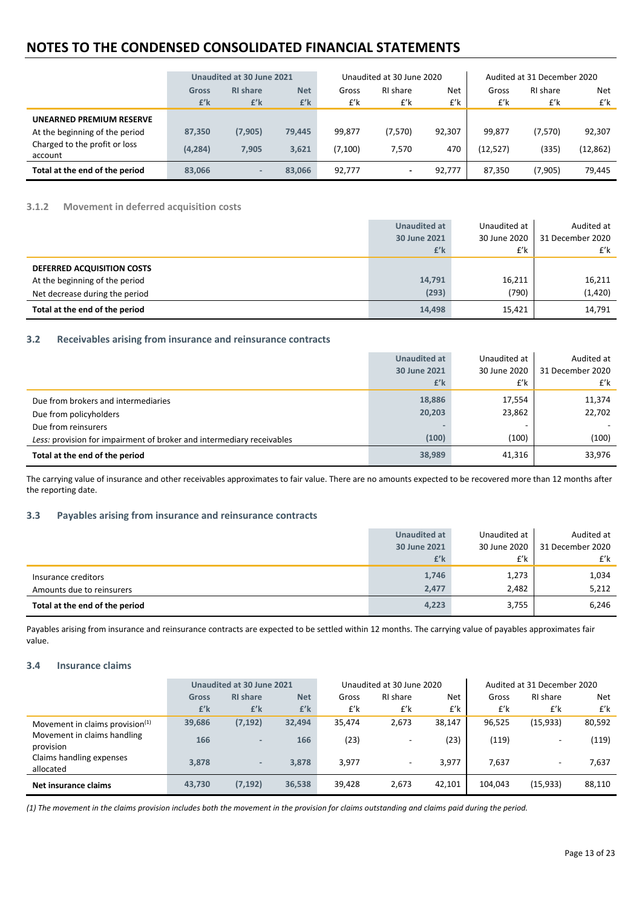|                                          | Unaudited at 30 June 2021 |                           |                   | Unaudited at 30 June 2020 |                 |            | Audited at 31 December 2020 |                 |            |
|------------------------------------------|---------------------------|---------------------------|-------------------|---------------------------|-----------------|------------|-----------------------------|-----------------|------------|
|                                          | <b>Gross</b><br>$f'$ k    | <b>RI</b> share<br>$f'$ k | <b>Net</b><br>£'k | Gross<br>£'k              | RI share<br>£'k | Net<br>£'k | Gross<br>£'k                | RI share<br>£'k | Net<br>£'k |
| UNEARNED PREMIUM RESERVE                 |                           |                           |                   |                           |                 |            |                             |                 |            |
| At the beginning of the period           | 87,350                    | (7, 905)                  | 79,445            | 99,877                    | (7,570)         | 92,307     | 99,877                      | (7,570)         | 92,307     |
| Charged to the profit or loss<br>account | (4, 284)                  | 7.905                     | 3.621             | (7,100)                   | 7,570           | 470        | (12,527)                    | (335)           | (12, 862)  |
| Total at the end of the period           | 83,066                    | $\overline{\phantom{a}}$  | 83,066            | 92,777                    | ٠               | 92,777     | 87,350                      | (7,905)         | 79,445     |

### **3.1.2 Movement in deferred acquisition costs**

|                                | <b>Unaudited at</b> | Unaudited at | Audited at       |
|--------------------------------|---------------------|--------------|------------------|
|                                | 30 June 2021        | 30 June 2020 | 31 December 2020 |
|                                | £'k                 | £'k          | £'k              |
| DEFERRED ACQUISITION COSTS     |                     |              |                  |
| At the beginning of the period | 14,791              | 16,211       | 16,211           |
| Net decrease during the period | (293)               | (790)        | (1, 420)         |
| Total at the end of the period | 14,498              | 15,421       | 14,791           |

#### **3.2 Receivables arising from insurance and reinsurance contracts**

|                                                                       | <b>Unaudited at</b> | Unaudited at | Audited at       |
|-----------------------------------------------------------------------|---------------------|--------------|------------------|
|                                                                       | 30 June 2021        | 30 June 2020 | 31 December 2020 |
|                                                                       | £'k                 | £'k          | £'k              |
| Due from brokers and intermediaries                                   | 18,886              | 17,554       | 11,374           |
| Due from policyholders                                                | 20,203              | 23,862       | 22,702           |
| Due from reinsurers                                                   |                     |              |                  |
| Less: provision for impairment of broker and intermediary receivables | (100)               | (100)        | (100)            |
| Total at the end of the period                                        | 38,989              | 41,316       | 33,976           |

The carrying value of insurance and other receivables approximates to fair value. There are no amounts expected to be recovered more than 12 months after the reporting date.

#### **3.3 Payables arising from insurance and reinsurance contracts**

|                                | Unaudited at | Unaudited at | Audited at       |
|--------------------------------|--------------|--------------|------------------|
|                                | 30 June 2021 | 30 June 2020 | 31 December 2020 |
|                                | £'k          | £'k          | £'k              |
| Insurance creditors            | 1,746        | 1,273        | 1,034            |
| Amounts due to reinsurers      | 2,477        | 2,482        | 5,212            |
| Total at the end of the period | 4,223        | 3,755        | 6,246            |

Payables arising from insurance and reinsurance contracts are expected to be settled within 12 months. The carrying value of payables approximates fair value.

#### **3.4 Insurance claims**

|                                          | Unaudited at 30 June 2021 |                          |            | Unaudited at 30 June 2020 |                          |        | Audited at 31 December 2020 |                          |        |
|------------------------------------------|---------------------------|--------------------------|------------|---------------------------|--------------------------|--------|-----------------------------|--------------------------|--------|
|                                          | <b>Gross</b>              | <b>RI</b> share          | <b>Net</b> | Gross                     | RI share                 | Net    | Gross                       | RI share                 | Net    |
|                                          | $f'$ k                    | £'k                      | $f'$ k     | £'k                       | £'k                      | £'k    | £'k                         | £'k                      | £'k    |
| Movement in claims provision $(1)$       | 39,686                    | (7, 192)                 | 32,494     | 35,474                    | 2,673                    | 38,147 | 96,525                      | (15, 933)                | 80,592 |
| Movement in claims handling<br>provision | 166                       | $\overline{\phantom{a}}$ | 166        | (23)                      | $\overline{\phantom{a}}$ | (23)   | (119)                       | $\overline{\phantom{a}}$ | (119)  |
| Claims handling expenses<br>allocated    | 3.878                     | $\overline{\phantom{a}}$ | 3,878      | 3,977                     | $\overline{\phantom{a}}$ | 3,977  | 7,637                       | $\overline{\phantom{a}}$ | 7,637  |
| Net insurance claims                     | 43,730                    | (7, 192)                 | 36,538     | 39,428                    | 2,673                    | 42,101 | 104.043                     | (15, 933)                | 88,110 |

(1) The movement in the claims provision includes both the movement in the provision for claims outstanding and claims paid during the period.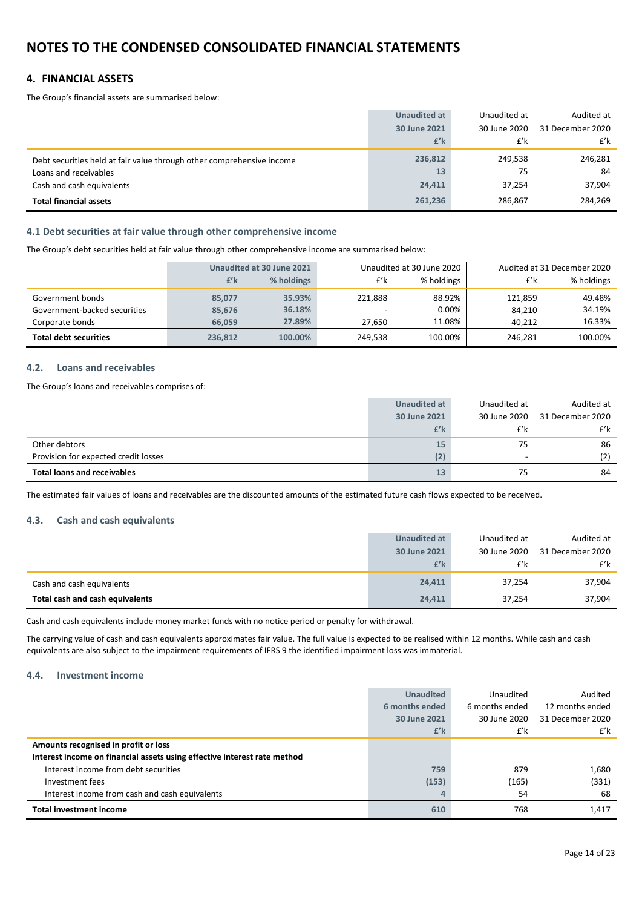## **4. FINANCIAL ASSETS**

The Group's financial assets are summarised below:

|                                                                       | <b>Unaudited at</b> | Unaudited at | Audited at       |
|-----------------------------------------------------------------------|---------------------|--------------|------------------|
|                                                                       | 30 June 2021        | 30 June 2020 | 31 December 2020 |
|                                                                       | £'k                 | £'k          | £'k              |
| Debt securities held at fair value through other comprehensive income | 236,812             | 249,538      | 246,281          |
| Loans and receivables                                                 | 13                  | 75           | 84               |
| Cash and cash equivalents                                             | 24.411              | 37.254       | 37,904           |
| <b>Total financial assets</b>                                         | 261,236             | 286,867      | 284,269          |

#### **4.1 Debt securities at fair value through other comprehensive income**

The Group's debt securities held at fair value through other comprehensive income are summarised below:

|                              |         | Unaudited at 30 June 2021 |         | Unaudited at 30 June 2020 | Audited at 31 December 2020 |            |  |
|------------------------------|---------|---------------------------|---------|---------------------------|-----------------------------|------------|--|
|                              | $f'$ k  | % holdings                | £'k     | % holdings                | £'k                         | % holdings |  |
| Government bonds             | 85,077  | 35.93%                    | 221.888 | 88.92%                    | 121.859                     | 49.48%     |  |
| Government-backed securities | 85,676  | 36.18%                    |         | 0.00%                     | 84.210                      | 34.19%     |  |
| Corporate bonds              | 66.059  | 27.89%                    | 27.650  | 11.08%                    | 40.212                      | 16.33%     |  |
| <b>Total debt securities</b> | 236,812 | 100.00%                   | 249.538 | 100.00%                   | 246.281                     | 100.00%    |  |

#### **4.2. Loans and receivables**

The Group's loans and receivables comprises of:

| <b>Total loans and receivables</b>   | 13           | 75           | 84               |
|--------------------------------------|--------------|--------------|------------------|
| Provision for expected credit losses | (2)          |              | (2)              |
| Other debtors                        | 15           | 75           | 86               |
|                                      | £'k          | £'k          | £'k              |
|                                      | 30 June 2021 | 30 June 2020 | 31 December 2020 |
|                                      | Unaudited at | Unaudited at | Audited at       |

The estimated fair values of loans and receivables are the discounted amounts of the estimated future cash flows expected to be received.

#### **4.3. Cash and cash equivalents**

|                                 | Unaudited at | Unaudited at | Audited at       |
|---------------------------------|--------------|--------------|------------------|
|                                 | 30 June 2021 | 30 June 2020 | 31 December 2020 |
|                                 | £'k          | £'k          | £'k              |
| Cash and cash equivalents       | 24.411       | 37,254       | 37,904           |
| Total cash and cash equivalents | 24,411       | 37,254       | 37,904           |

Cash and cash equivalents include money market funds with no notice period or penalty for withdrawal.

The carrying value of cash and cash equivalents approximates fair value. The full value is expected to be realised within 12 months. While cash and cash equivalents are also subject to the impairment requirements of IFRS 9 the identified impairment loss was immaterial.

#### **4.4. Investment income**

|                                                                          | <b>Unaudited</b> | Unaudited      | Audited          |
|--------------------------------------------------------------------------|------------------|----------------|------------------|
|                                                                          | 6 months ended   | 6 months ended | 12 months ended  |
|                                                                          | 30 June 2021     | 30 June 2020   | 31 December 2020 |
|                                                                          | £'k              | £'k            | £'k              |
| Amounts recognised in profit or loss                                     |                  |                |                  |
| Interest income on financial assets using effective interest rate method |                  |                |                  |
| Interest income from debt securities                                     | 759              | 879            | 1,680            |
| Investment fees                                                          | (153)            | (165)          | (331)            |
| Interest income from cash and cash equivalents                           |                  | 54             | 68               |
| <b>Total investment income</b>                                           | 610              | 768            | 1,417            |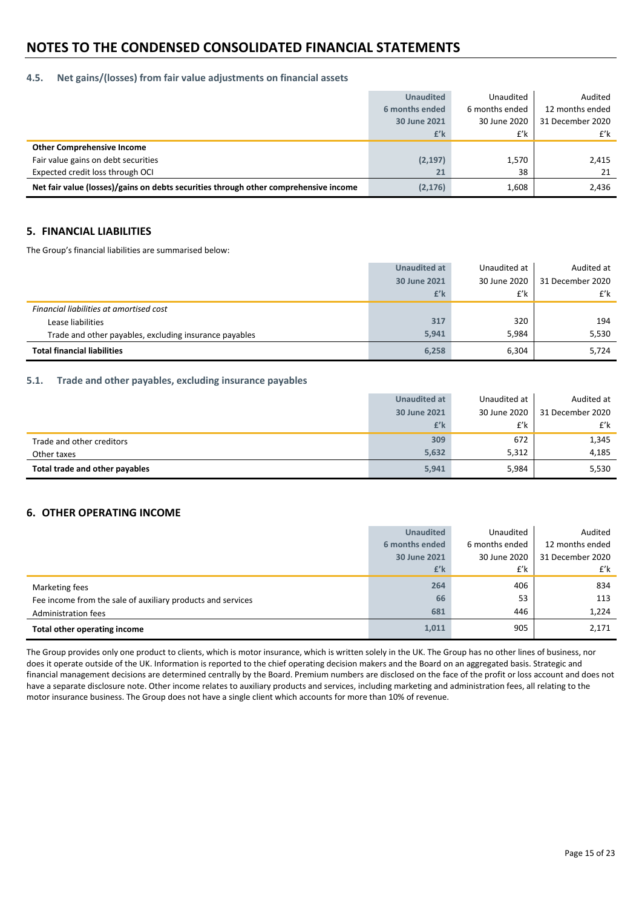#### **4.5. Net gains/(losses) from fair value adjustments on financial assets**

|                                                                                      | <b>Unaudited</b> | Unaudited      | Audited          |
|--------------------------------------------------------------------------------------|------------------|----------------|------------------|
|                                                                                      | 6 months ended   | 6 months ended | 12 months ended  |
|                                                                                      | 30 June 2021     | 30 June 2020   | 31 December 2020 |
|                                                                                      | £'k              | £'k            | £'k              |
| <b>Other Comprehensive Income</b>                                                    |                  |                |                  |
| Fair value gains on debt securities                                                  | (2, 197)         | 1,570          | 2,415            |
| Expected credit loss through OCI                                                     | 21               | 38             | 21               |
| Net fair value (losses)/gains on debts securities through other comprehensive income | (2, 176)         | 1,608          | 2,436            |

## **5. FINANCIAL LIABILITIES**

The Group's financial liabilities are summarised below:

|                                                        | Unaudited at | Unaudited at | Audited at       |
|--------------------------------------------------------|--------------|--------------|------------------|
|                                                        | 30 June 2021 | 30 June 2020 | 31 December 2020 |
|                                                        | £'k          | £'k          | $f'$ k           |
| Financial liabilities at amortised cost                |              |              |                  |
| Lease liabilities                                      | 317          | 320          | 194              |
| Trade and other payables, excluding insurance payables | 5.941        | 5.984        | 5,530            |
| <b>Total financial liabilities</b>                     | 6,258        | 6,304        | 5.724            |

#### **5.1. Trade and other payables, excluding insurance payables**

|                                | Unaudited at | Unaudited at | Audited at       |
|--------------------------------|--------------|--------------|------------------|
|                                | 30 June 2021 | 30 June 2020 | 31 December 2020 |
|                                | £'k          | £'k          | £'k              |
| Trade and other creditors      | 309          | 672          | 1,345            |
| Other taxes                    | 5,632        | 5,312        | 4,185            |
| Total trade and other payables | 5,941        | 5,984        | 5,530            |

### **6. OTHER OPERATING INCOME**

|                                                             | <b>Unaudited</b> | Unaudited      | Audited          |
|-------------------------------------------------------------|------------------|----------------|------------------|
|                                                             | 6 months ended   | 6 months ended | 12 months ended  |
|                                                             | 30 June 2021     | 30 June 2020   | 31 December 2020 |
|                                                             | £'k              | £'k            | £'k              |
| Marketing fees                                              | 264              | 406            | 834              |
| Fee income from the sale of auxiliary products and services | 66               | 53             | 113              |
| Administration fees                                         | 681              | 446            | 1,224            |
| Total other operating income                                | 1,011            | 905            | 2,171            |

The Group provides only one product to clients, which is motor insurance, which is written solely in the UK. The Group has no other lines of business, nor does it operate outside of the UK. Information is reported to the chief operating decision makers and the Board on an aggregated basis. Strategic and financial management decisions are determined centrally by the Board. Premium numbers are disclosed on the face of the profit or loss account and does not have a separate disclosure note. Other income relates to auxiliary products and services, including marketing and administration fees, all relating to the motor insurance business. The Group does not have a single client which accounts for more than 10% of revenue.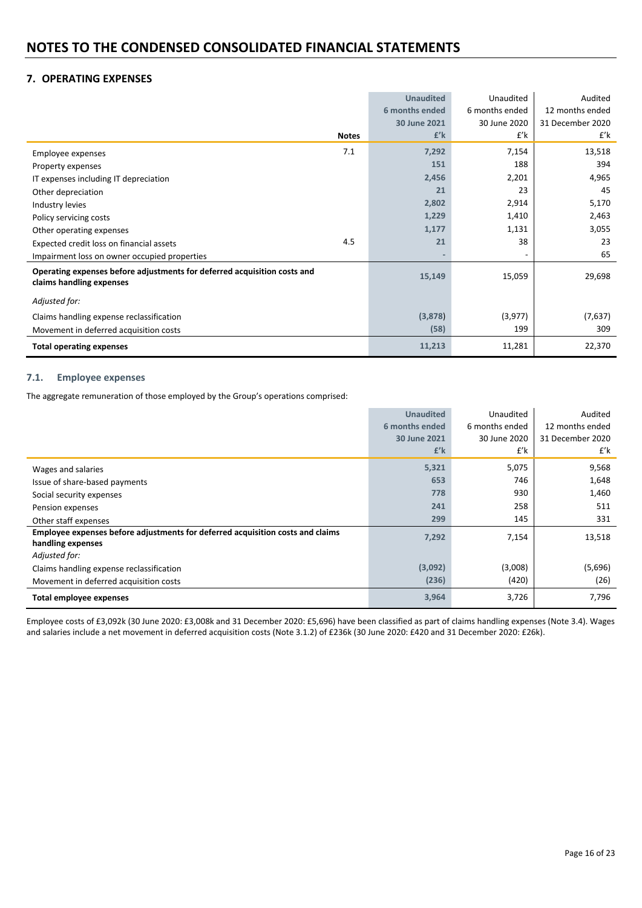## **7. OPERATING EXPENSES**

|                                                                                                      |              | <b>Unaudited</b> | Unaudited      | Audited          |
|------------------------------------------------------------------------------------------------------|--------------|------------------|----------------|------------------|
|                                                                                                      |              | 6 months ended   | 6 months ended | 12 months ended  |
|                                                                                                      |              | 30 June 2021     | 30 June 2020   | 31 December 2020 |
|                                                                                                      | <b>Notes</b> | $f'$ k           | £'k            | £'k              |
| Employee expenses                                                                                    | 7.1          | 7,292            | 7,154          | 13,518           |
| Property expenses                                                                                    |              | 151              | 188            | 394              |
| IT expenses including IT depreciation                                                                |              | 2,456            | 2,201          | 4,965            |
| Other depreciation                                                                                   |              | 21               | 23             | 45               |
| Industry levies                                                                                      |              | 2,802            | 2,914          | 5,170            |
| Policy servicing costs                                                                               |              | 1,229            | 1,410          | 2,463            |
| Other operating expenses                                                                             |              | 1,177            | 1,131          | 3,055            |
| Expected credit loss on financial assets                                                             | 4.5          | 21               | 38             | 23               |
| Impairment loss on owner occupied properties                                                         |              |                  |                | 65               |
| Operating expenses before adjustments for deferred acquisition costs and<br>claims handling expenses |              | 15,149           | 15,059         | 29,698           |
| Adjusted for:                                                                                        |              |                  |                |                  |
| Claims handling expense reclassification                                                             |              | (3,878)          | (3,977)        | (7,637)          |
| Movement in deferred acquisition costs                                                               |              | (58)             | 199            | 309              |
| <b>Total operating expenses</b>                                                                      |              | 11,213           | 11,281         | 22,370           |

#### **7.1. Employee expenses**

The aggregate remuneration of those employed by the Group's operations comprised:

|                                                                                | <b>Unaudited</b><br>Unaudited |                | Audited          |
|--------------------------------------------------------------------------------|-------------------------------|----------------|------------------|
|                                                                                | 6 months ended                | 6 months ended | 12 months ended  |
|                                                                                | 30 June 2021                  | 30 June 2020   | 31 December 2020 |
|                                                                                | $f'$ k                        | £'k            | £'k              |
| Wages and salaries                                                             | 5,321                         | 5,075          | 9,568            |
| Issue of share-based payments                                                  | 653                           | 746            | 1,648            |
| Social security expenses                                                       | 778                           | 930            | 1,460            |
| Pension expenses                                                               | 241                           | 258            | 511              |
| Other staff expenses                                                           | 299                           | 145            | 331              |
| Employee expenses before adjustments for deferred acquisition costs and claims | 7,292                         | 7,154          | 13,518           |
| handling expenses                                                              |                               |                |                  |
| Adjusted for:                                                                  |                               |                |                  |
| Claims handling expense reclassification                                       | (3,092)                       | (3,008)        | (5,696)          |
| Movement in deferred acquisition costs                                         | (236)                         | (420)          | (26)             |
| Total employee expenses                                                        | 3,964                         | 3,726          | 7,796            |

Employee costs of £3,092k (30 June 2020: £3,008k and 31 December 2020: £5,696) have been classified as part of claims handling expenses (Note 3.4). Wages and salaries include a net movement in deferred acquisition costs (Note 3.1.2) of £236k (30 June 2020: £420 and 31 December 2020: £26k).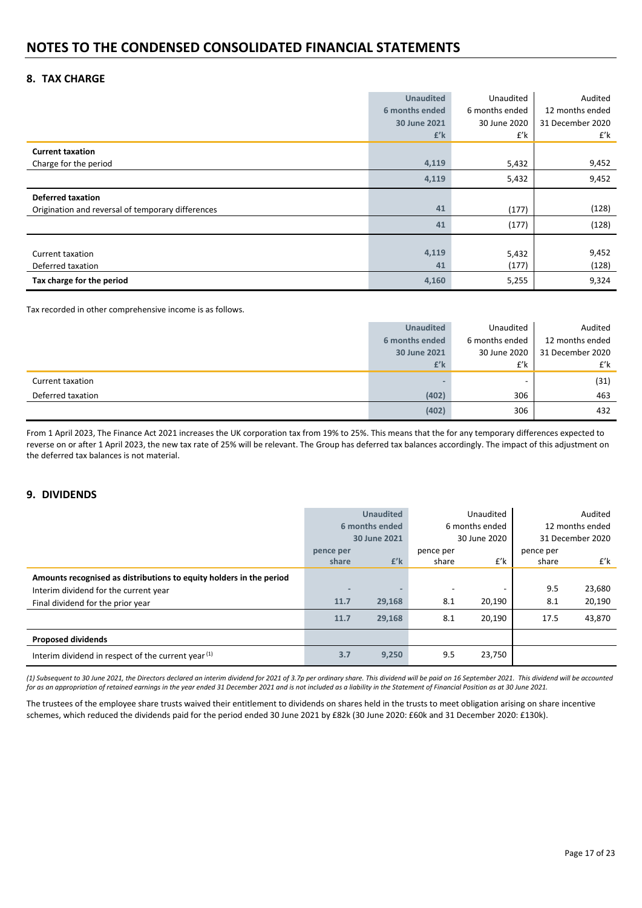## **8. TAX CHARGE**

|                                                   | <b>Unaudited</b> | Unaudited      | Audited          |
|---------------------------------------------------|------------------|----------------|------------------|
|                                                   | 6 months ended   | 6 months ended | 12 months ended  |
|                                                   | 30 June 2021     | 30 June 2020   | 31 December 2020 |
|                                                   | $f'$ k           | £'k            | £'k              |
| <b>Current taxation</b>                           |                  |                |                  |
| Charge for the period                             | 4,119            | 5,432          | 9,452            |
|                                                   | 4,119            | 5,432          | 9,452            |
| <b>Deferred taxation</b>                          |                  |                |                  |
| Origination and reversal of temporary differences | 41               | (177)          | (128)            |
|                                                   | 41               | (177)          | (128)            |
|                                                   |                  |                |                  |
| Current taxation                                  | 4,119            | 5,432          | 9,452            |
| Deferred taxation                                 | 41               | (177)          | (128)            |
| Tax charge for the period                         | 4,160            | 5,255          | 9,324            |

Tax recorded in other comprehensive income is as follows.

|                   | <b>Unaudited</b> | Unaudited      | Audited          |
|-------------------|------------------|----------------|------------------|
|                   | 6 months ended   | 6 months ended | 12 months ended  |
|                   | 30 June 2021     | 30 June 2020   | 31 December 2020 |
|                   | £'k              | £'k            | £'k              |
| Current taxation  |                  |                | (31)             |
| Deferred taxation | (402)            | 306            | 463              |
|                   | (402)            | 306            | 432              |

From 1 April 2023, The Finance Act 2021 increases the UK corporation tax from 19% to 25%. This means that the for any temporary differences expected to reverse on or after 1 April 2023, the new tax rate of 25% will be relevant. The Group has deferred tax balances accordingly. The impact of this adjustment on the deferred tax balances is not material.

### **9. DIVIDENDS**

|                                                                     |           | <b>Unaudited</b>             | Unaudited |                  |                 | Audited |
|---------------------------------------------------------------------|-----------|------------------------------|-----------|------------------|-----------------|---------|
|                                                                     |           | 6 months ended               |           | 6 months ended   | 12 months ended |         |
|                                                                     |           | 30 June 2020<br>30 June 2021 |           | 31 December 2020 |                 |         |
|                                                                     | pence per |                              | pence per |                  |                 |         |
|                                                                     | share     | $f'$ k                       | share     | £'k              | share           | £'k     |
| Amounts recognised as distributions to equity holders in the period |           |                              |           |                  |                 |         |
| Interim dividend for the current year                               |           |                              |           |                  | 9.5             | 23,680  |
| Final dividend for the prior year                                   | 11.7      | 29,168                       | 8.1       | 20,190           | 8.1             | 20,190  |
|                                                                     | 11.7      | 29,168                       | 8.1       | 20,190           | 17.5            | 43,870  |
| <b>Proposed dividends</b>                                           |           |                              |           |                  |                 |         |
| Interim dividend in respect of the current year (1)                 | 3.7       | 9,250                        | 9.5       | 23,750           |                 |         |

(1) Subsequent to 30 June 2021, the Directors declared an interim dividend for 2021 of 3.7p per ordinary share. This dividend will be paid on 16 September 2021. This dividend will be accounted for as an appropriation of retained earnings in the year ended 31 December 2021 and is not included as a liability in the Statement of Financial Position as at 30 June 2021.

The trustees of the employee share trusts waived their entitlement to dividends on shares held in the trusts to meet obligation arising on share incentive schemes, which reduced the dividends paid for the period ended 30 June 2021 by £82k (30 June 2020: £60k and 31 December 2020: £130k).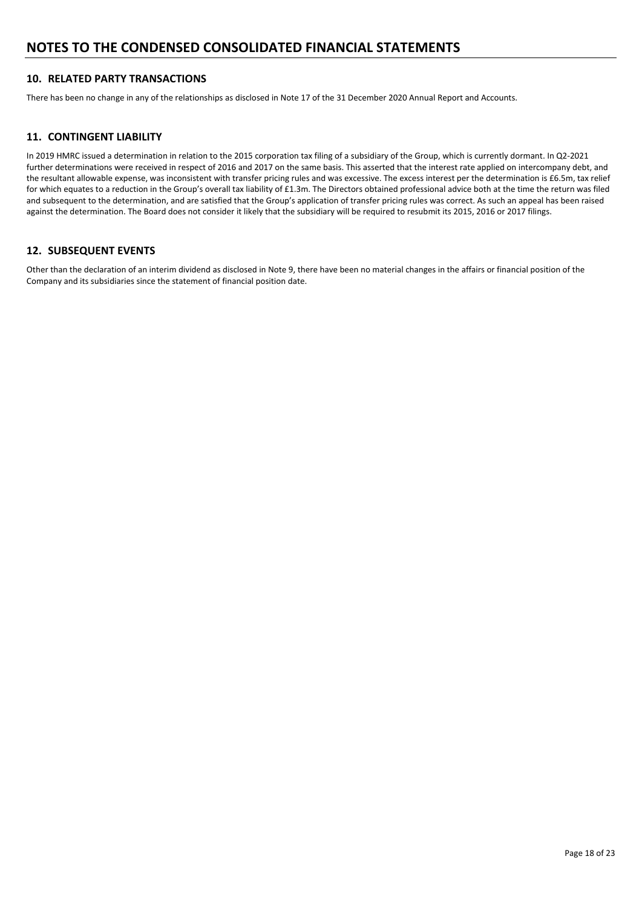## **10. RELATED PARTY TRANSACTIONS**

There has been no change in any of the relationships as disclosed in Note 17 of the 31 December 2020 Annual Report and Accounts.

## **11. CONTINGENT LIABILITY**

In 2019 HMRC issued a determination in relation to the 2015 corporation tax filing of a subsidiary of the Group, which is currently dormant. In Q2‐2021 further determinations were received in respect of 2016 and 2017 on the same basis. This asserted that the interest rate applied on intercompany debt, and the resultant allowable expense, was inconsistent with transfer pricing rules and was excessive. The excess interest per the determination is £6.5m, tax relief for which equates to a reduction in the Group's overall tax liability of £1.3m. The Directors obtained professional advice both at the time the return was filed and subsequent to the determination, and are satisfied that the Group's application of transfer pricing rules was correct. As such an appeal has been raised against the determination. The Board does not consider it likely that the subsidiary will be required to resubmit its 2015, 2016 or 2017 filings.

### **12. SUBSEQUENT EVENTS**

Other than the declaration of an interim dividend as disclosed in Note 9, there have been no material changes in the affairs or financial position of the Company and its subsidiaries since the statement of financial position date.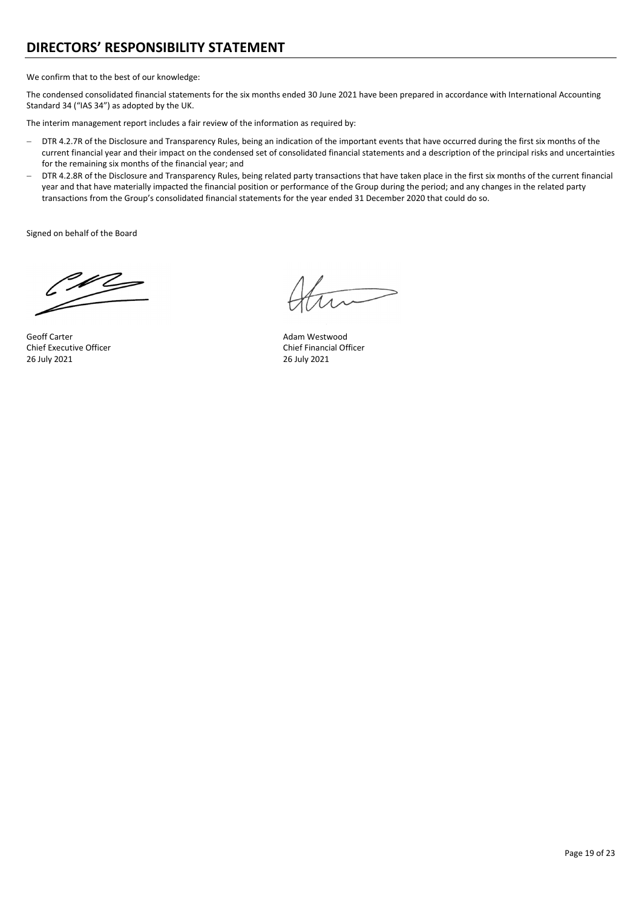## **DIRECTORS' RESPONSIBILITY STATEMENT**

We confirm that to the best of our knowledge:

The condensed consolidated financial statements for the six months ended 30 June 2021 have been prepared in accordance with International Accounting Standard 34 ("IAS 34") as adopted by the UK.

The interim management report includes a fair review of the information as required by:

- DTR 4.2.7R of the Disclosure and Transparency Rules, being an indication of the important events that have occurred during the first six months of the current financial year and their impact on the condensed set of consolidated financial statements and a description of the principal risks and uncertainties for the remaining six months of the financial year; and
- DTR 4.2.8R of the Disclosure and Transparency Rules, being related party transactions that have taken place in the first six months of the current financial year and that have materially impacted the financial position or performance of the Group during the period; and any changes in the related party transactions from the Group's consolidated financial statements for the year ended 31 December 2020 that could do so.

Signed on behalf of the Board

 $\mathscr{U}$ 

Geoff Carter Adam Westwood Chief Executive Officer **Chief Executive Officer Chief Financial Officer** 26 July 2021 26 July 2021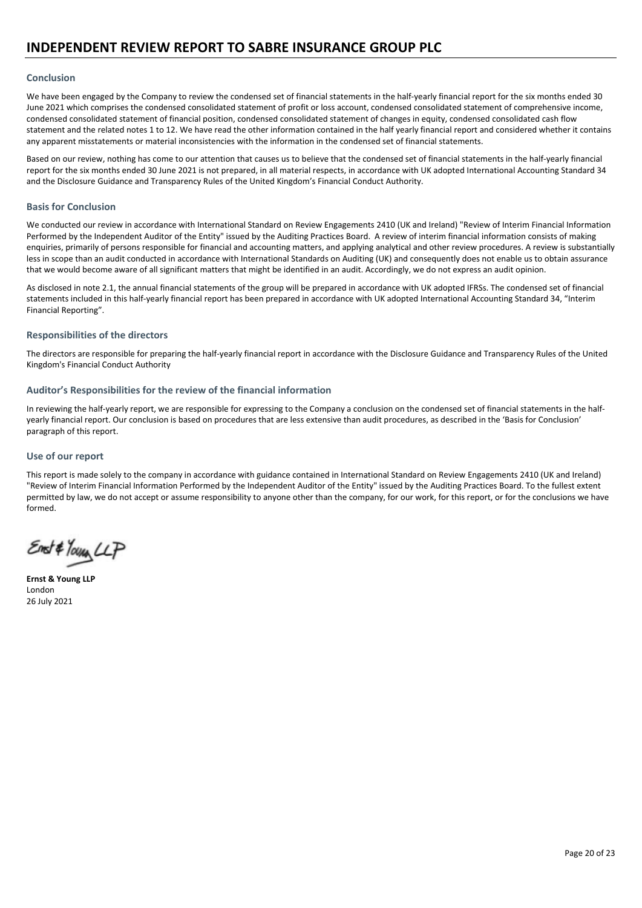#### **Conclusion**

We have been engaged by the Company to review the condensed set of financial statements in the half-yearly financial report for the six months ended 30 June 2021 which comprises the condensed consolidated statement of profit or loss account, condensed consolidated statement of comprehensive income, condensed consolidated statement of financial position, condensed consolidated statement of changes in equity, condensed consolidated cash flow statement and the related notes 1 to 12. We have read the other information contained in the half yearly financial report and considered whether it contains any apparent misstatements or material inconsistencies with the information in the condensed set of financial statements.

Based on our review, nothing has come to our attention that causes us to believe that the condensed set of financial statements in the half‐yearly financial report for the six months ended 30 June 2021 is not prepared, in all material respects, in accordance with UK adopted International Accounting Standard 34 and the Disclosure Guidance and Transparency Rules of the United Kingdom's Financial Conduct Authority.

#### **Basis for Conclusion**

We conducted our review in accordance with International Standard on Review Engagements 2410 (UK and Ireland) "Review of Interim Financial Information Performed by the Independent Auditor of the Entity" issued by the Auditing Practices Board. A review of interim financial information consists of making enquiries, primarily of persons responsible for financial and accounting matters, and applying analytical and other review procedures. A review is substantially less in scope than an audit conducted in accordance with International Standards on Auditing (UK) and consequently does not enable us to obtain assurance that we would become aware of all significant matters that might be identified in an audit. Accordingly, we do not express an audit opinion.

As disclosed in note 2.1, the annual financial statements of the group will be prepared in accordance with UK adopted IFRSs. The condensed set of financial statements included in this half‐yearly financial report has been prepared in accordance with UK adopted International Accounting Standard 34, "Interim Financial Reporting".

#### **Responsibilities of the directors**

The directors are responsible for preparing the half-yearly financial report in accordance with the Disclosure Guidance and Transparency Rules of the United Kingdom's Financial Conduct Authority

#### **Auditor's Responsibilities for the review of the financial information**

In reviewing the half-yearly report, we are responsible for expressing to the Company a conclusion on the condensed set of financial statements in the halfyearly financial report. Our conclusion is based on procedures that are less extensive than audit procedures, as described in the 'Basis for Conclusion' paragraph of this report.

#### **Use of our report**

This report is made solely to the company in accordance with guidance contained in International Standard on Review Engagements 2410 (UK and Ireland) "Review of Interim Financial Information Performed by the Independent Auditor of the Entity" issued by the Auditing Practices Board. To the fullest extent permitted by law, we do not accept or assume responsibility to anyone other than the company, for our work, for this report, or for the conclusions we have formed.

Enst#Your LLP

**Ernst & Young LLP** London 26 July 2021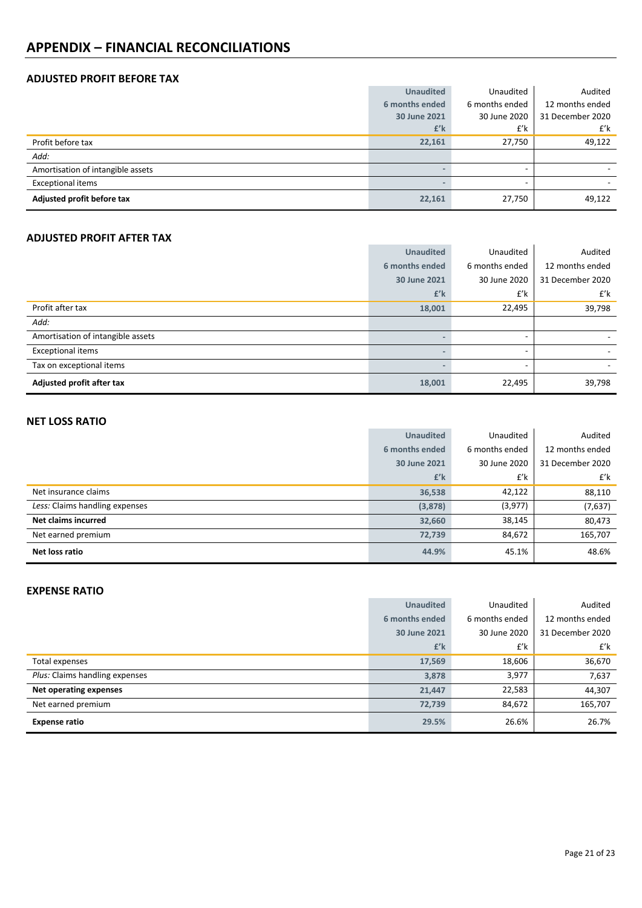## **APPENDIX – FINANCIAL RECONCILIATIONS**

## **ADJUSTED PROFIT BEFORE TAX**

|                                   | <b>Unaudited</b> | Unaudited      | Audited          |
|-----------------------------------|------------------|----------------|------------------|
|                                   | 6 months ended   | 6 months ended | 12 months ended  |
|                                   | 30 June 2021     | 30 June 2020   | 31 December 2020 |
|                                   | £'k              | £'k            | £'k              |
| Profit before tax                 | 22,161           | 27,750         | 49,122           |
| Add:                              |                  |                |                  |
| Amortisation of intangible assets |                  |                |                  |
| <b>Exceptional items</b>          |                  |                |                  |
| Adjusted profit before tax        | 22,161           | 27,750         | 49,122           |

## **ADJUSTED PROFIT AFTER TAX**

|                                   | <b>Unaudited</b> | Unaudited      | Audited          |
|-----------------------------------|------------------|----------------|------------------|
|                                   | 6 months ended   | 6 months ended | 12 months ended  |
|                                   | 30 June 2021     | 30 June 2020   | 31 December 2020 |
|                                   | $f'$ k           | £'k            | £'k              |
| Profit after tax                  | 18,001           | 22,495         | 39,798           |
| Add:                              |                  |                |                  |
| Amortisation of intangible assets |                  | ۰              |                  |
| <b>Exceptional items</b>          |                  | ۰              |                  |
| Tax on exceptional items          |                  |                |                  |
| Adjusted profit after tax         | 18,001           | 22,495         | 39,798           |

## **NET LOSS RATIO**

| .                              |                  |                |                  |
|--------------------------------|------------------|----------------|------------------|
|                                | <b>Unaudited</b> | Unaudited      | Audited          |
|                                | 6 months ended   | 6 months ended | 12 months ended  |
|                                | 30 June 2021     | 30 June 2020   | 31 December 2020 |
|                                | $f'$ k           | £'k            | £'k              |
| Net insurance claims           | 36,538           | 42,122         | 88,110           |
| Less: Claims handling expenses | (3,878)          | (3,977)        | (7,637)          |
| <b>Net claims incurred</b>     | 32,660           | 38,145         | 80,473           |
| Net earned premium             | 72,739           | 84,672         | 165,707          |
| Net loss ratio                 | 44.9%            | 45.1%          | 48.6%            |

### **EXPENSE RATIO**

| LAF LIVJL IVATIV               |                  |                |                  |
|--------------------------------|------------------|----------------|------------------|
|                                | <b>Unaudited</b> | Unaudited      | Audited          |
|                                | 6 months ended   | 6 months ended | 12 months ended  |
|                                | 30 June 2021     | 30 June 2020   | 31 December 2020 |
|                                | $f'$ k           | £'k            | £'k              |
| Total expenses                 | 17,569           | 18,606         | 36,670           |
| Plus: Claims handling expenses | 3,878            | 3,977          | 7,637            |
| Net operating expenses         | 21,447           | 22,583         | 44,307           |
| Net earned premium             | 72,739           | 84,672         | 165,707          |
| <b>Expense ratio</b>           | 29.5%            | 26.6%          | 26.7%            |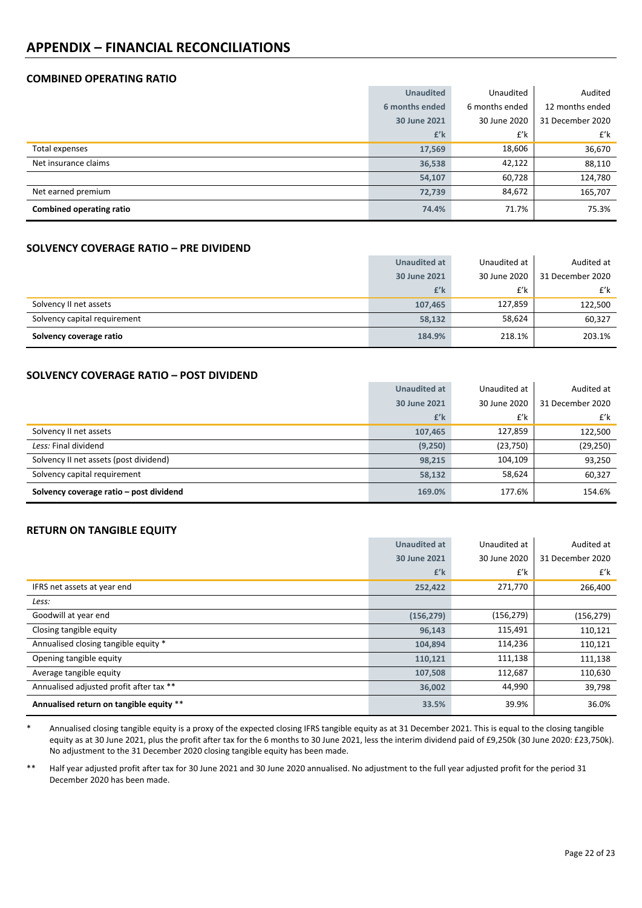## **APPENDIX – FINANCIAL RECONCILIATIONS**

## **COMBINED OPERATING RATIO**

|                          | <b>Unaudited</b> | Unaudited      | Audited          |
|--------------------------|------------------|----------------|------------------|
|                          | 6 months ended   | 6 months ended | 12 months ended  |
|                          | 30 June 2021     | 30 June 2020   | 31 December 2020 |
|                          | $f'$ k           | £'k            | £'k              |
| Total expenses           | 17,569           | 18,606         | 36,670           |
| Net insurance claims     | 36,538           | 42,122         | 88,110           |
|                          | 54,107           | 60,728         | 124,780          |
| Net earned premium       | 72,739           | 84,672         | 165,707          |
| Combined operating ratio | 74.4%            | 71.7%          | 75.3%            |

#### **SOLVENCY COVERAGE RATIO – PRE DIVIDEND**

|                              | <b>Unaudited at</b> | Unaudited at | Audited at       |
|------------------------------|---------------------|--------------|------------------|
|                              | 30 June 2021        | 30 June 2020 | 31 December 2020 |
|                              | £'k                 | £'k          | £'k              |
| Solvency II net assets       | 107.465             | 127,859      | 122,500          |
| Solvency capital requirement | 58,132              | 58,624       | 60,327           |
| Solvency coverage ratio      | 184.9%              | 218.1%       | 203.1%           |

## **SOLVENCY COVERAGE RATIO – POST DIVIDEND**

|                                         | <b>Unaudited at</b> | Unaudited at | Audited at       |
|-----------------------------------------|---------------------|--------------|------------------|
|                                         | 30 June 2021        | 30 June 2020 | 31 December 2020 |
|                                         | £'k                 | £'k          | £'k              |
| Solvency II net assets                  | 107,465             | 127,859      | 122,500          |
| Less: Final dividend                    | (9,250)             | (23,750)     | (29, 250)        |
| Solvency II net assets (post dividend)  | 98.215              | 104,109      | 93,250           |
| Solvency capital requirement            | 58,132              | 58,624       | 60,327           |
| Solvency coverage ratio - post dividend | 169.0%              | 177.6%       | 154.6%           |

## **RETURN ON TANGIBLE EQUITY**

|                                         | <b>Unaudited at</b> | Unaudited at | Audited at       |
|-----------------------------------------|---------------------|--------------|------------------|
|                                         | 30 June 2021        | 30 June 2020 | 31 December 2020 |
|                                         | $f'$ k              | £'k          | £'k              |
| IFRS net assets at year end             | 252,422             | 271,770      | 266,400          |
| Less:                                   |                     |              |                  |
| Goodwill at year end                    | (156, 279)          | (156, 279)   | (156, 279)       |
| Closing tangible equity                 | 96,143              | 115,491      | 110,121          |
| Annualised closing tangible equity *    | 104,894             | 114,236      | 110,121          |
| Opening tangible equity                 | 110,121             | 111,138      | 111,138          |
| Average tangible equity                 | 107,508             | 112,687      | 110,630          |
| Annualised adjusted profit after tax ** | 36,002              | 44,990       | 39,798           |
| Annualised return on tangible equity ** | 33.5%               | 39.9%        | 36.0%            |

Annualised closing tangible equity is a proxy of the expected closing IFRS tangible equity as at 31 December 2021. This is equal to the closing tangible equity as at 30 June 2021, plus the profit after tax for the 6 months to 30 June 2021, less the interim dividend paid of £9,250k (30 June 2020: £23,750k). No adjustment to the 31 December 2020 closing tangible equity has been made.

\*\* Half year adjusted profit after tax for 30 June 2021 and 30 June 2020 annualised. No adjustment to the full year adjusted profit for the period 31 December 2020 has been made.

ï